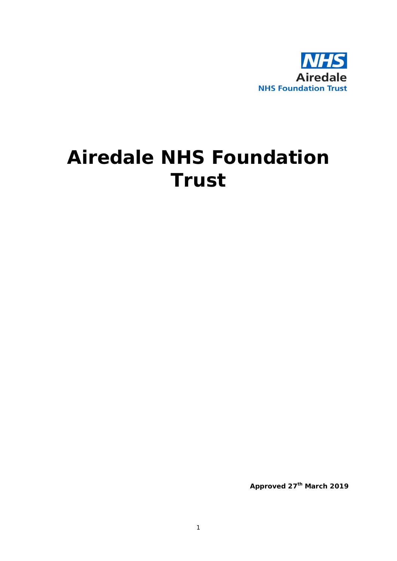

# **Airedale NHS Foundation Trust**

**Approved 27th March 2019**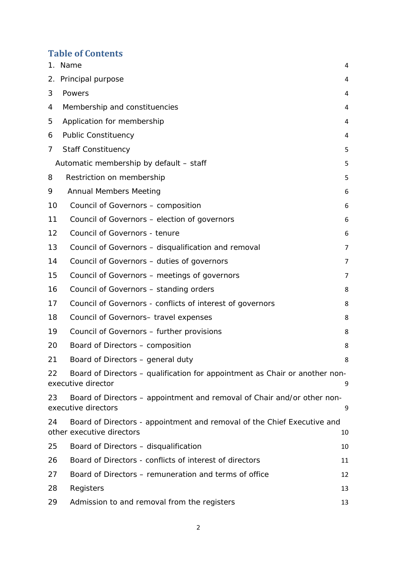# **Table of Contents**

|    | 1. Name                                                                                              | 4              |
|----|------------------------------------------------------------------------------------------------------|----------------|
| 2. | Principal purpose                                                                                    | 4              |
| 3  | Powers                                                                                               | 4              |
| 4  | Membership and constituencies                                                                        | 4              |
| 5  | Application for membership                                                                           | 4              |
| 6  | <b>Public Constituency</b>                                                                           | 4              |
| 7  | <b>Staff Constituency</b>                                                                            | 5              |
|    | Automatic membership by default - staff                                                              | 5              |
| 8  | Restriction on membership                                                                            | 5              |
| 9  | <b>Annual Members Meeting</b>                                                                        | 6              |
| 10 | Council of Governors - composition                                                                   | 6              |
| 11 | Council of Governors – election of governors                                                         | 6              |
| 12 | Council of Governors - tenure                                                                        | 6              |
| 13 | Council of Governors - disqualification and removal                                                  | 7              |
| 14 | Council of Governors - duties of governors                                                           | 7              |
| 15 | Council of Governors – meetings of governors                                                         | $\overline{7}$ |
| 16 | Council of Governors – standing orders                                                               | 8              |
| 17 | Council of Governors - conflicts of interest of governors                                            | 8              |
| 18 | Council of Governors- travel expenses                                                                | 8              |
| 19 | Council of Governors - further provisions                                                            | 8              |
| 20 | Board of Directors – composition                                                                     | 8              |
| 21 | Board of Directors – general duty                                                                    | 8              |
| 22 | Board of Directors - qualification for appointment as Chair or another non-<br>executive director    | 9              |
| 23 | Board of Directors – appointment and removal of Chair and/or other non-<br>executive directors       | 9              |
| 24 | Board of Directors - appointment and removal of the Chief Executive and<br>other executive directors | 10             |
| 25 | Board of Directors - disqualification                                                                | 10             |
| 26 | Board of Directors - conflicts of interest of directors                                              | 11             |
| 27 | Board of Directors – remuneration and terms of office                                                | 12             |
| 28 | Registers                                                                                            | 13             |
| 29 | Admission to and removal from the registers                                                          | 13             |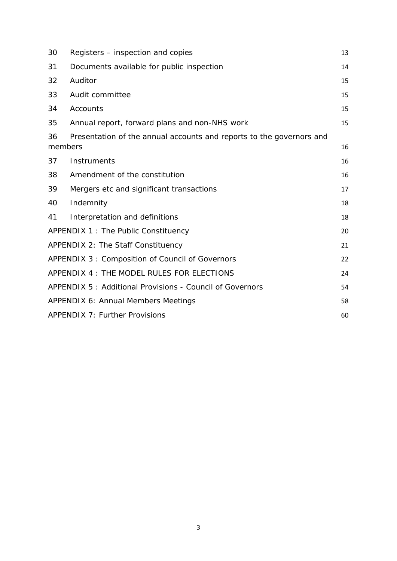| 30            | Registers – inspection and copies                                    | 13 |
|---------------|----------------------------------------------------------------------|----|
| 31            | Documents available for public inspection                            | 14 |
| 32            | Auditor                                                              | 15 |
| 33            | Audit committee                                                      | 15 |
| 34            | Accounts                                                             | 15 |
| 35            | Annual report, forward plans and non-NHS work                        | 15 |
| 36<br>members | Presentation of the annual accounts and reports to the governors and | 16 |
| 37            | Instruments                                                          | 16 |
| 38            | Amendment of the constitution                                        | 16 |
| 39            | Mergers etc and significant transactions                             | 17 |
| 40            | Indemnity                                                            | 18 |
| 41            | Interpretation and definitions                                       | 18 |
|               | APPENDIX 1 : The Public Constituency                                 | 20 |
|               | APPENDIX 2: The Staff Constituency                                   | 21 |
|               | APPENDIX 3: Composition of Council of Governors                      | 22 |
|               | APPENDIX 4: THE MODEL RULES FOR ELECTIONS                            | 24 |
|               | APPENDIX 5: Additional Provisions - Council of Governors             | 54 |
|               | APPENDIX 6: Annual Members Meetings                                  | 58 |
|               | <b>APPENDIX 7: Further Provisions</b>                                | 60 |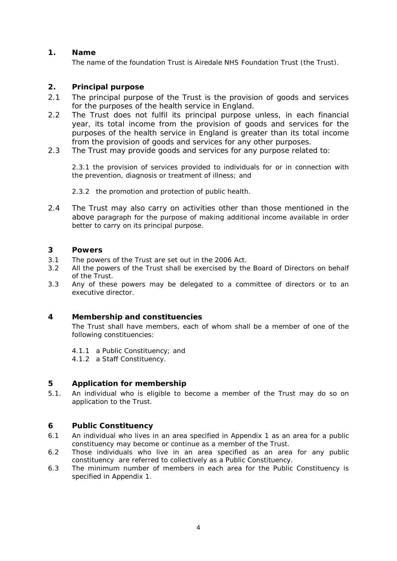# <span id="page-3-0"></span>**1. Name**

The name of the foundation Trust is Airedale NHS Foundation Trust (the Trust).

# <span id="page-3-1"></span>**2. Principal purpose**

- 2.1 The principal purpose of the Trust is the provision of goods and services for the purposes of the health service in England.
- 2.2 The Trust does not fulfil its principal purpose unless, in each financial year, its total income from the provision of goods and services for the purposes of the health service in England is greater than its total income from the provision of goods and services for any other purposes.
- 2.3 The Trust may provide goods and services for any purpose related to:

2.3.1 the provision of services provided to individuals for or in connection with the prevention, diagnosis or treatment of illness; and

- 2.3.2 the promotion and protection of public health.
- 2.4 The Trust may also carry on activities other than those mentioned in the above paragraph for the purpose of making additional income available in order better to carry on its principal purpose.

# <span id="page-3-2"></span>**3 Powers**

- 3.1 The powers of the Trust are set out in the 2006 Act.
- 3.2 All the powers of the Trust shall be exercised by the Board of Directors on behalf of the Trust.
- <span id="page-3-3"></span>3.3 Any of these powers may be delegated to a committee of directors or to an executive director.

# **4 Membership and constituencies**

The Trust shall have members, each of whom shall be a member of one of the following constituencies:

4.1.1 a Public Constituency; and

4.1.2 a Staff Constituency.

# <span id="page-3-4"></span>**5 Application for membership**

<span id="page-3-5"></span>5.1. An individual who is eligible to become a member of the Trust may do so on application to the Trust.

# **6 Public Constituency**

- 6.1 An individual who lives in an area specified in Appendix 1 as an area for a public constituency may become or continue as a member of the Trust.
- 6.2 Those individuals who live in an area specified as an area for any public constituency are referred to collectively as a Public Constituency.
- 6.3 The minimum number of members in each area for the Public Constituency is specified in Appendix 1.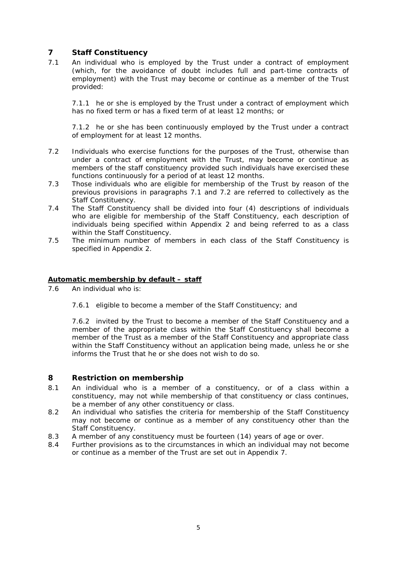# <span id="page-4-0"></span>**7 Staff Constituency**

7.1 An individual who is employed by the Trust under a contract of employment (which, for the avoidance of doubt includes full and part-time contracts of employment) with the Trust may become or continue as a member of the Trust provided:

7.1.1 he or she is employed by the Trust under a contract of employment which has no fixed term or has a fixed term of at least 12 months; or

7.1.2 he or she has been continuously employed by the Trust under a contract of employment for at least 12 months.

- 7.2 Individuals who exercise functions for the purposes of the Trust, otherwise than under a contract of employment with the Trust, may become or continue as members of the staff constituency provided such individuals have exercised these functions continuously for a period of at least 12 months.
- 7.3 Those individuals who are eligible for membership of the Trust by reason of the previous provisions in paragraphs 7.1 and 7.2 are referred to collectively as the Staff Constituency.
- 7.4 The Staff Constituency shall be divided into four (4) descriptions of individuals who are eligible for membership of the Staff Constituency, each description of individuals being specified within Appendix 2 and being referred to as a class within the Staff Constituency.
- 7.5 The minimum number of members in each class of the Staff Constituency is specified in Appendix 2.

#### <span id="page-4-1"></span>**Automatic membership by default – staff**

- 7.6 An individual who is:
	- 7.6.1 eligible to become a member of the Staff Constituency; and

7.6.2 invited by the Trust to become a member of the Staff Constituency and a member of the appropriate class within the Staff Constituency shall become a member of the Trust as a member of the Staff Constituency and appropriate class within the Staff Constituency without an application being made, unless he or she informs the Trust that he or she does not wish to do so.

#### <span id="page-4-2"></span>**8 Restriction on membership**

- 8.1 An individual who is a member of a constituency, or of a class within a constituency, may not while membership of that constituency or class continues, be a member of any other constituency or class.
- 8.2 An individual who satisfies the criteria for membership of the Staff Constituency may not become or continue as a member of any constituency other than the Staff Constituency.
- 8.3 A member of any constituency must be fourteen (14) years of age or over.
- 8.4 Further provisions as to the circumstances in which an individual may not become or continue as a member of the Trust are set out in Appendix 7.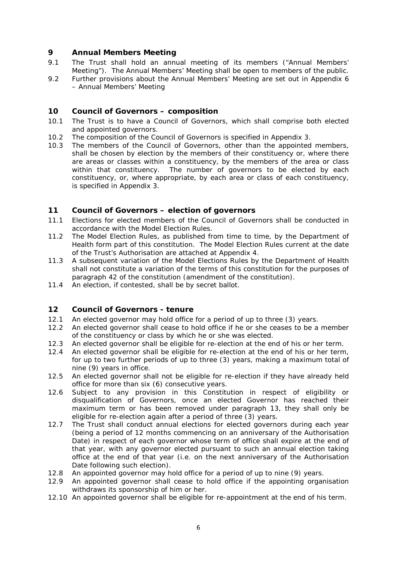# <span id="page-5-0"></span>**9 Annual Members Meeting**

- 9.1 The Trust shall hold an annual meeting of its members ("Annual Members' Meeting"). The Annual Members' Meeting shall be open to members of the public.
- <span id="page-5-1"></span>9.2 Further provisions about the Annual Members' Meeting are set out in Appendix 6 – Annual Members' Meeting

# **10 Council of Governors – composition**

- 10.1 The Trust is to have a Council of Governors, which shall comprise both elected and appointed governors.
- 10.2 The composition of the Council of Governors is specified in Appendix 3.
- 10.3 The members of the Council of Governors, other than the appointed members, shall be chosen by election by the members of their constituency or, where there are areas or classes within a constituency, by the members of the area or class within that constituency. The number of governors to be elected by each constituency, or, where appropriate, by each area or class of each constituency, is specified in Appendix 3.

#### <span id="page-5-2"></span>**11 Council of Governors – election of governors**

- 11.1 Elections for elected members of the Council of Governors shall be conducted in accordance with the Model Election Rules.
- 11.2 The Model Election Rules, as published from time to time, by the Department of Health form part of this constitution. The Model Election Rules current at the date of the Trust's Authorisation are attached at Appendix 4.
- 11.3 A subsequent variation of the Model Elections Rules by the Department of Health shall not constitute a variation of the terms of this constitution for the purposes of paragraph 42 of the constitution (amendment of the constitution).
- <span id="page-5-3"></span>11.4 An election, if contested, shall be by secret ballot.

# **12 Council of Governors - tenure**

- 12.1 An elected governor may hold office for a period of up to three (3) years.
- 12.2 An elected governor shall cease to hold office if he or she ceases to be a member of the constituency or class by which he or she was elected.
- 12.3 An elected governor shall be eligible for re-election at the end of his or her term.
- 12.4 An elected governor shall be eligible for re-election at the end of his or her term, for up to two further periods of up to three (3) years, making a maximum total of nine (9) years in office.
- 12.5 An elected governor shall not be eligible for re-election if they have already held office for more than six (6) consecutive years.
- 12.6 Subject to any provision in this Constitution in respect of eligibility or disqualification of Governors, once an elected Governor has reached their maximum term or has been removed under paragraph 13, they shall only be eligible for re-election again after a period of three (3) years.
- 12.7 The Trust shall conduct annual elections for elected governors during each year (being a period of 12 months commencing on an anniversary of the Authorisation Date) in respect of each governor whose term of office shall expire at the end of that year, with any governor elected pursuant to such an annual election taking office at the end of that year (i.e. on the next anniversary of the Authorisation Date following such election).
- 12.8 An appointed governor may hold office for a period of up to nine (9) years.
- 12.9 An appointed governor shall cease to hold office if the appointing organisation withdraws its sponsorship of him or her.
- 12.10 An appointed governor shall be eligible for re-appointment at the end of his term.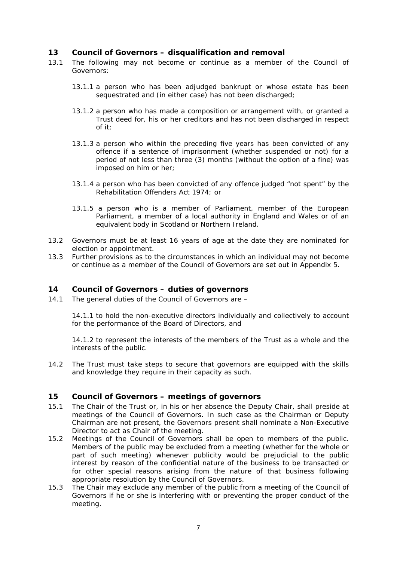### <span id="page-6-0"></span>**13 Council of Governors – disqualification and removal**

- 13.1 The following may not become or continue as a member of the Council of Governors:
	- 13.1.1 a person who has been adjudged bankrupt or whose estate has been sequestrated and (in either case) has not been discharged;
	- 13.1.2 a person who has made a composition or arrangement with, or granted a Trust deed for, his or her creditors and has not been discharged in respect of it;
	- 13.1.3 a person who within the preceding five years has been convicted of any offence if a sentence of imprisonment (whether suspended or not) for a period of not less than three (3) months (without the option of a fine) was imposed on him or her;
	- 13.1.4 a person who has been convicted of any offence judged "not spent" by the Rehabilitation Offenders Act 1974; or
	- 13.1.5 a person who is a member of Parliament, member of the European Parliament, a member of a local authority in England and Wales or of an equivalent body in Scotland or Northern Ireland.
- 13.2 Governors must be at least 16 years of age at the date they are nominated for election or appointment.
- <span id="page-6-1"></span>13.3 Further provisions as to the circumstances in which an individual may not become or continue as a member of the Council of Governors are set out in Appendix 5.

### **14 Council of Governors – duties of governors**

14.1 The general duties of the Council of Governors are –

14.1.1 to hold the non-executive directors individually and collectively to account for the performance of the Board of Directors, and

14.1.2 to represent the interests of the members of the Trust as a whole and the interests of the public.

<span id="page-6-2"></span>14.2 The Trust must take steps to secure that governors are equipped with the skills and knowledge they require in their capacity as such.

#### **15 Council of Governors – meetings of governors**

- 15.1 The Chair of the Trust or, in his or her absence the Deputy Chair, shall preside at meetings of the Council of Governors. In such case as the Chairman or Deputy Chairman are not present, the Governors present shall nominate a Non-Executive Director to act as Chair of the meeting.
- 15.2 Meetings of the Council of Governors shall be open to members of the public. Members of the public may be excluded from a meeting (whether for the whole or part of such meeting) whenever publicity would be prejudicial to the public interest by reason of the confidential nature of the business to be transacted or for other special reasons arising from the nature of that business following appropriate resolution by the Council of Governors.
- 15.3 The Chair may exclude any member of the public from a meeting of the Council of Governors if he or she is interfering with or preventing the proper conduct of the meeting.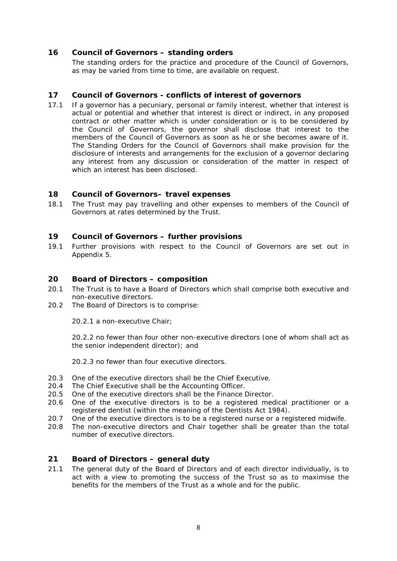### <span id="page-7-0"></span>**16 Council of Governors – standing orders**

The standing orders for the practice and procedure of the Council of Governors, as may be varied from time to time, are available on request.

#### <span id="page-7-1"></span>**17 Council of Governors - conflicts of interest of governors**

17.1 If a governor has a pecuniary, personal or family interest, whether that interest is actual or potential and whether that interest is direct or indirect, in any proposed contract or other matter which is under consideration or is to be considered by the Council of Governors, the governor shall disclose that interest to the members of the Council of Governors as soon as he or she becomes aware of it. The Standing Orders for the Council of Governors shall make provision for the disclosure of interests and arrangements for the exclusion of a governor declaring any interest from any discussion or consideration of the matter in respect of which an interest has been disclosed.

# <span id="page-7-2"></span>**18 Council of Governors– travel expenses**

<span id="page-7-3"></span>18.1 The Trust may pay travelling and other expenses to members of the Council of Governors at rates determined by the Trust.

#### **19 Council of Governors – further provisions**

<span id="page-7-4"></span>19.1 Further provisions with respect to the Council of Governors are set out in Appendix 5.

#### **20 Board of Directors – composition**

- 20.1 The Trust is to have a Board of Directors which shall comprise both executive and non-executive directors.
- 20.2 The Board of Directors is to comprise:

20.2.1 a non-executive Chair;

20.2.2 no fewer than four other non-executive directors (one of whom shall act as the senior independent director); and

20.2.3 no fewer than four executive directors.

- 20.3 One of the executive directors shall be the Chief Executive.<br>20.4 The Chief Executive shall be the Accounting Officer.
- The Chief Executive shall be the Accounting Officer.
- 20.5 One of the executive directors shall be the Finance Director.
- 20.6 One of the executive directors is to be a registered medical practitioner or a registered dentist (within the meaning of the Dentists Act 1984).
- 20.7 One of the executive directors is to be a registered nurse or a registered midwife.
- <span id="page-7-5"></span>20.8 The non-executive directors and Chair together shall be greater than the total number of executive directors.

#### **21 Board of Directors – general duty**

21.1 The general duty of the Board of Directors and of each director individually, is to act with a view to promoting the success of the Trust so as to maximise the benefits for the members of the Trust as a whole and for the public.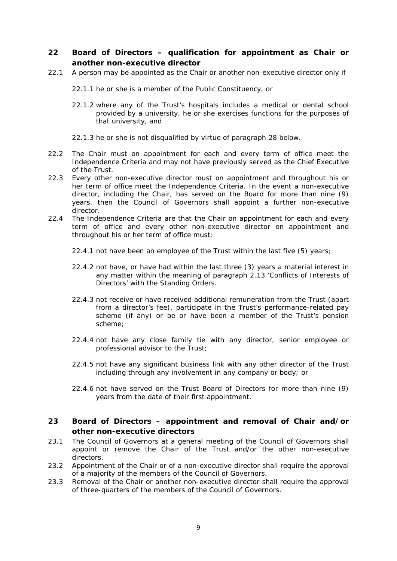# <span id="page-8-0"></span>**22 Board of Directors – qualification for appointment as Chair or another non-executive director**

22.1 A person may be appointed as the Chair or another non-executive director only if

22.1.1 he or she is a member of the Public Constituency, or

- 22.1.2 where any of the Trust's hospitals includes a medical or dental school provided by a university, he or she exercises functions for the purposes of that university, and
- 22.1.3 he or she is not disqualified by virtue of paragraph 28 below.
- 22.2 The Chair must on appointment for each and every term of office meet the Independence Criteria and may not have previously served as the Chief Executive of the Trust.
- 22.3 Every other non-executive director must on appointment and throughout his or her term of office meet the Independence Criteria. In the event a non-executive director, including the Chair, has served on the Board for more than nine (9) years, then the Council of Governors shall appoint a further non-executive director.
- 22.4 The Independence Criteria are that the Chair on appointment for each and every term of office and every other non-executive director on appointment and throughout his or her term of office must;
	- 22.4.1 not have been an employee of the Trust within the last five (5) years;
	- 22.4.2 not have, or have had within the last three (3) years a material interest in any matter within the meaning of paragraph 2.13 'Conflicts of Interests of Directors' with the Standing Orders.
	- 22.4.3 not receive or have received additional remuneration from the Trust (apart from a director's fee), participate in the Trust's performance-related pay scheme (if any) or be or have been a member of the Trust's pension scheme;
	- 22.4.4 not have any close family tie with any director, senior employee or professional advisor to the Trust;
	- 22.4.5 not have any significant business link with any other director of the Trust including through any involvement in any company or body; or
	- 22.4.6 not have served on the Trust Board of Directors for more than nine (9) years from the date of their first appointment.

# <span id="page-8-1"></span>**23 Board of Directors – appointment and removal of Chair and/or other non-executive directors**

- 23.1 The Council of Governors at a general meeting of the Council of Governors shall appoint or remove the Chair of the Trust and/or the other non-executive directors.
- 23.2 Appointment of the Chair or of a non-executive director shall require the approval of a majority of the members of the Council of Governors.
- 23.3 Removal of the Chair or another non-executive director shall require the approval of three-quarters of the members of the Council of Governors.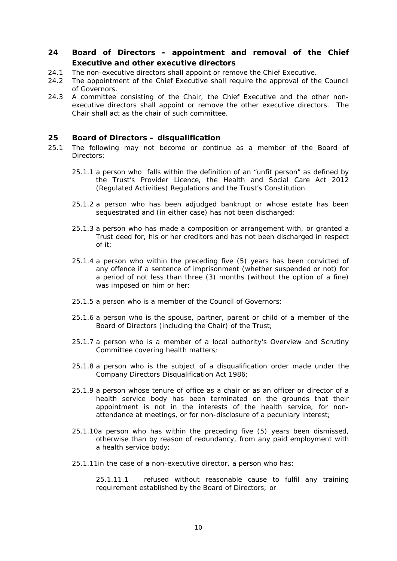# <span id="page-9-0"></span>**24 Board of Directors - appointment and removal of the Chief Executive and other executive directors**

- 24.1 The non-executive directors shall appoint or remove the Chief Executive.
- 24.2 The appointment of the Chief Executive shall require the approval of the Council of Governors.
- 24.3 A committee consisting of the Chair, the Chief Executive and the other nonexecutive directors shall appoint or remove the other executive directors. The Chair shall act as the chair of such committee.

#### <span id="page-9-1"></span>**25 Board of Directors – disqualification**

- 25.1 The following may not become or continue as a member of the Board of Directors:
	- 25.1.1 a person who falls within the definition of an "unfit person" as defined by the Trust's Provider Licence, the Health and Social Care Act 2012 (Regulated Activities) Regulations and the Trust's Constitution.
	- 25.1.2 a person who has been adjudged bankrupt or whose estate has been sequestrated and (in either case) has not been discharged;
	- 25.1.3 a person who has made a composition or arrangement with, or granted a Trust deed for, his or her creditors and has not been discharged in respect of it;
	- 25.1.4 a person who within the preceding five (5) years has been convicted of any offence if a sentence of imprisonment (whether suspended or not) for a period of not less than three (3) months (without the option of a fine) was imposed on him or her;
	- 25.1.5 a person who is a member of the Council of Governors;
	- 25.1.6 a person who is the spouse, partner, parent or child of a member of the Board of Directors (including the Chair) of the Trust;
	- 25.1.7 a person who is a member of a local authority's Overview and Scrutiny Committee covering health matters;
	- 25.1.8 a person who is the subject of a disqualification order made under the Company Directors Disqualification Act 1986;
	- 25.1.9 a person whose tenure of office as a chair or as an officer or director of a health service body has been terminated on the grounds that their appointment is not in the interests of the health service, for nonattendance at meetings, or for non-disclosure of a pecuniary interest;
	- 25.1.10a person who has within the preceding five (5) years been dismissed, otherwise than by reason of redundancy, from any paid employment with a health service body;
	- 25.1.11in the case of a non-executive director, a person who has:

25.1.11.1 refused without reasonable cause to fulfil any training requirement established by the Board of Directors; or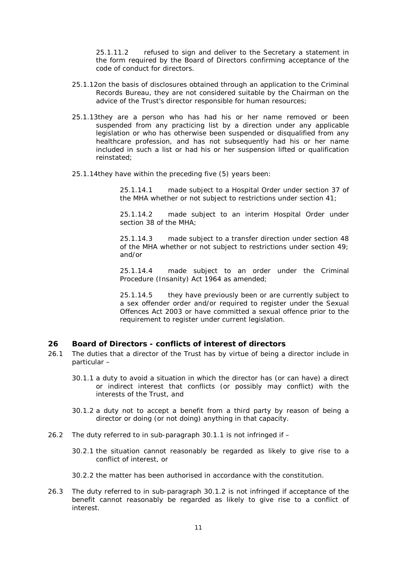25.1.11.2 refused to sign and deliver to the Secretary a statement in the form required by the Board of Directors confirming acceptance of the code of conduct for directors.

- 25.1.12on the basis of disclosures obtained through an application to the Criminal Records Bureau, they are not considered suitable by the Chairman on the advice of the Trust's director responsible for human resources;
- 25.1.13they are a person who has had his or her name removed or been suspended from any practicing list by a direction under any applicable legislation or who has otherwise been suspended or disqualified from any healthcare profession, and has not subsequently had his or her name included in such a list or had his or her suspension lifted or qualification reinstated;
- 25.1.14they have within the preceding five (5) years been:

25.1.14.1 made subject to a Hospital Order under section 37 of the MHA whether or not subject to restrictions under section 41;

25.1.14.2 made subject to an interim Hospital Order under section 38 of the MHA;

25.1.14.3 made subject to a transfer direction under section 48 of the MHA whether or not subject to restrictions under section 49; and/or

25.1.14.4 made subject to an order under the Criminal Procedure (Insanity) Act 1964 as amended;

25.1.14.5 they have previously been or are currently subject to a sex offender order and/or required to register under the Sexual Offences Act 2003 or have committed a sexual offence prior to the requirement to register under current legislation.

#### <span id="page-10-0"></span>**26 Board of Directors - conflicts of interest of directors**

- 26.1 The duties that a director of the Trust has by virtue of being a director include in particular –
	- 30.1.1 a duty to avoid a situation in which the director has (or can have) a direct or indirect interest that conflicts (or possibly may conflict) with the interests of the Trust, and
	- 30.1.2 a duty not to accept a benefit from a third party by reason of being a director or doing (or not doing) anything in that capacity.
- 26.2 The duty referred to in sub-paragraph 30.1.1 is not infringed if
	- 30.2.1 the situation cannot reasonably be regarded as likely to give rise to a conflict of interest, or
	- 30.2.2 the matter has been authorised in accordance with the constitution.
- 26.3 The duty referred to in sub-paragraph 30.1.2 is not infringed if acceptance of the benefit cannot reasonably be regarded as likely to give rise to a conflict of interest.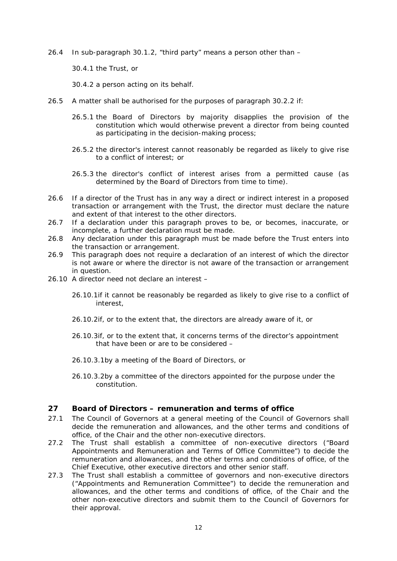26.4 In sub-paragraph 30.1.2, "third party" means a person other than –

30.4.1 the Trust, or

30.4.2 a person acting on its behalf.

- 26.5 A matter shall be authorised for the purposes of paragraph 30.2.2 if:
	- 26.5.1 the Board of Directors by majority disapplies the provision of the constitution which would otherwise prevent a director from being counted as participating in the decision-making process;
	- 26.5.2 the director's interest cannot reasonably be regarded as likely to give rise to a conflict of interest; or
	- 26.5.3 the director's conflict of interest arises from a permitted cause (as determined by the Board of Directors from time to time).
- 26.6 If a director of the Trust has in any way a direct or indirect interest in a proposed transaction or arrangement with the Trust, the director must declare the nature and extent of that interest to the other directors.
- 26.7 If a declaration under this paragraph proves to be, or becomes, inaccurate, or incomplete, a further declaration must be made.
- 26.8 Any declaration under this paragraph must be made before the Trust enters into the transaction or arrangement.
- 26.9 This paragraph does not require a declaration of an interest of which the director is not aware or where the director is not aware of the transaction or arrangement in question.
- 26.10 A director need not declare an interest
	- 26.10.1if it cannot be reasonably be regarded as likely to give rise to a conflict of interest,
	- 26.10.2if, or to the extent that, the directors are already aware of it, or
	- 26.10.3if, or to the extent that, it concerns terms of the director's appointment that have been or are to be considered –
	- 26.10.3.1by a meeting of the Board of Directors, or
	- 26.10.3.2by a committee of the directors appointed for the purpose under the constitution.

# <span id="page-11-0"></span>**27 Board of Directors – remuneration and terms of office**

- 27.1 The Council of Governors at a general meeting of the Council of Governors shall decide the remuneration and allowances, and the other terms and conditions of office, of the Chair and the other non-executive directors.
- 27.2 The Trust shall establish a committee of non-executive directors ("Board Appointments and Remuneration and Terms of Office Committee") to decide the remuneration and allowances, and the other terms and conditions of office, of the Chief Executive, other executive directors and other senior staff.
- 27.3 The Trust shall establish a committee of governors and non-executive directors ("Appointments and Remuneration Committee") to decide the remuneration and allowances, and the other terms and conditions of office, of the Chair and the other non-executive directors and submit them to the Council of Governors for their approval.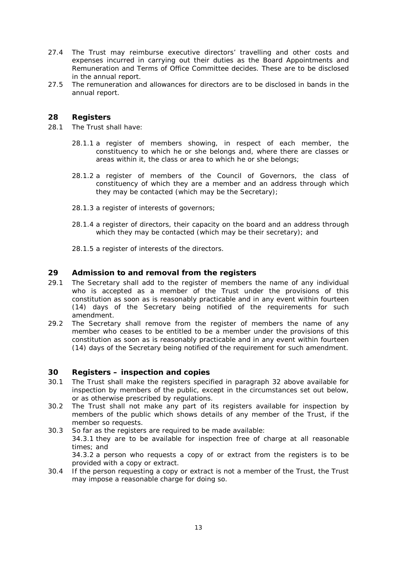- 27.4 The Trust may reimburse executive directors' travelling and other costs and expenses incurred in carrying out their duties as the Board Appointments and Remuneration and Terms of Office Committee decides. These are to be disclosed in the annual report.
- <span id="page-12-0"></span>27.5 The remuneration and allowances for directors are to be disclosed in bands in the annual report.

### **28 Registers**

- 28.1 The Trust shall have:
	- 28.1.1 a register of members showing, in respect of each member, the constituency to which he or she belongs and, where there are classes or areas within it, the class or area to which he or she belongs;
	- 28.1.2 a register of members of the Council of Governors, the class of constituency of which they are a member and an address through which they may be contacted (which may be the Secretary);
	- 28.1.3 a register of interests of governors;
	- 28.1.4 a register of directors, their capacity on the board and an address through which they may be contacted (which may be their secretary); and
	- 28.1.5 a register of interests of the directors.

#### <span id="page-12-1"></span>**29 Admission to and removal from the registers**

- 29.1 The Secretary shall add to the register of members the name of any individual who is accepted as a member of the Trust under the provisions of this constitution as soon as is reasonably practicable and in any event within fourteen (14) days of the Secretary being notified of the requirements for such amendment.
- 29.2 The Secretary shall remove from the register of members the name of any member who ceases to be entitled to be a member under the provisions of this constitution as soon as is reasonably practicable and in any event within fourteen (14) days of the Secretary being notified of the requirement for such amendment.

#### <span id="page-12-2"></span>**30 Registers – inspection and copies**

- 30.1 The Trust shall make the registers specified in paragraph 32 above available for inspection by members of the public, except in the circumstances set out below, or as otherwise prescribed by regulations.
- 30.2 The Trust shall not make any part of its registers available for inspection by members of the public which shows details of any member of the Trust, if the member so requests.
- 30.3 So far as the registers are required to be made available: 34.3.1 they are to be available for inspection free of charge at all reasonable times; and 34.3.2 a person who requests a copy of or extract from the registers is to be provided with a copy or extract.
- 30.4 If the person requesting a copy or extract is not a member of the Trust, the Trust may impose a reasonable charge for doing so.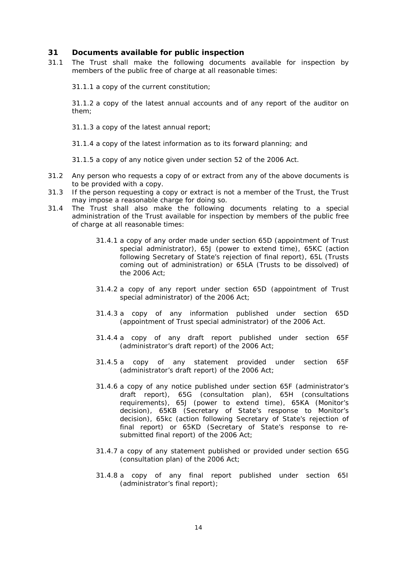#### <span id="page-13-0"></span>**31 Documents available for public inspection**

31.1 The Trust shall make the following documents available for inspection by members of the public free of charge at all reasonable times:

31.1.1 a copy of the current constitution;

31.1.2 a copy of the latest annual accounts and of any report of the auditor on them;

31.1.3 a copy of the latest annual report;

31.1.4 a copy of the latest information as to its forward planning; and

31.1.5 a copy of any notice given under section 52 of the 2006 Act.

- 31.2 Any person who requests a copy of or extract from any of the above documents is to be provided with a copy.
- 31.3 If the person requesting a copy or extract is not a member of the Trust, the Trust may impose a reasonable charge for doing so.
- 31.4 The Trust shall also make the following documents relating to a special administration of the Trust available for inspection by members of the public free of charge at all reasonable times:
	- 31.4.1 a copy of any order made under section 65D (appointment of Trust special administrator), 65J (power to extend time), 65KC (action following Secretary of State's rejection of final report), 65L (Trusts coming out of administration) or 65LA (Trusts to be dissolved) of the 2006 Act;
	- 31.4.2 a copy of any report under section 65D (appointment of Trust special administrator) of the 2006 Act;
	- 31.4.3 a copy of any information published under section 65D (appointment of Trust special administrator) of the 2006 Act.
	- 31.4.4 a copy of any draft report published under section 65F (administrator's draft report) of the 2006 Act;
	- 31.4.5 a copy of any statement provided under section 65F (administrator's draft report) of the 2006 Act;
	- 31.4.6 a copy of any notice published under section 65F (administrator's draft report), 65G (consultation plan), 65H (consultations requirements), 65J (power to extend time), 65KA (Monitor's decision), 65KB (Secretary of State's response to Monitor's decision), 65kc (action following Secretary of State's rejection of final report) or 65KD (Secretary of State's response to resubmitted final report) of the 2006 Act;
	- 31.4.7 a copy of any statement published or provided under section 65G (consultation plan) of the 2006 Act;
	- 31.4.8 a copy of any final report published under section 65I (administrator's final report);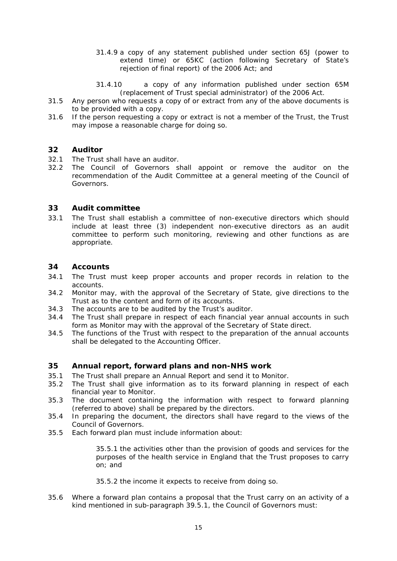- 31.4.9 a copy of any statement published under section 65J (power to extend time) or 65KC (action following Secretary of State's rejection of final report) of the 2006 Act; and
- 31.4.10 a copy of any information published under section 65M (replacement of Trust special administrator) of the 2006 Act.
- 31.5 Any person who requests a copy of or extract from any of the above documents is to be provided with a copy.
- <span id="page-14-0"></span>31.6 If the person requesting a copy or extract is not a member of the Trust, the Trust may impose a reasonable charge for doing so.

# **32 Auditor**

- 32.1 The Trust shall have an auditor.
- 32.2 The Council of Governors shall appoint or remove the auditor on the recommendation of the Audit Committee at a general meeting of the Council of Governors.

#### <span id="page-14-1"></span>**33 Audit committee**

33.1 The Trust shall establish a committee of non-executive directors which should include at least three (3) independent non-executive directors as an audit committee to perform such monitoring, reviewing and other functions as are appropriate.

### <span id="page-14-2"></span>**34 Accounts**

- 34.1 The Trust must keep proper accounts and proper records in relation to the accounts.
- 34.2 Monitor may, with the approval of the Secretary of State, give directions to the Trust as to the content and form of its accounts.
- 34.3 The accounts are to be audited by the Trust's auditor.
- 34.4 The Trust shall prepare in respect of each financial year annual accounts in such form as Monitor may with the approval of the Secretary of State direct.
- <span id="page-14-3"></span>34.5 The functions of the Trust with respect to the preparation of the annual accounts shall be delegated to the Accounting Officer.

#### **35 Annual report, forward plans and non-NHS work**

- 35.1 The Trust shall prepare an Annual Report and send it to Monitor.
- 35.2 The Trust shall give information as to its forward planning in respect of each financial year to Monitor.
- 35.3 The document containing the information with respect to forward planning (referred to above) shall be prepared by the directors.
- 35.4 In preparing the document, the directors shall have regard to the views of the Council of Governors.
- 35.5 Each forward plan must include information about:

35.5.1 the activities other than the provision of goods and services for the purposes of the health service in England that the Trust proposes to carry on; and

35.5.2 the income it expects to receive from doing so.

35.6 Where a forward plan contains a proposal that the Trust carry on an activity of a kind mentioned in sub-paragraph 39.5.1, the Council of Governors must: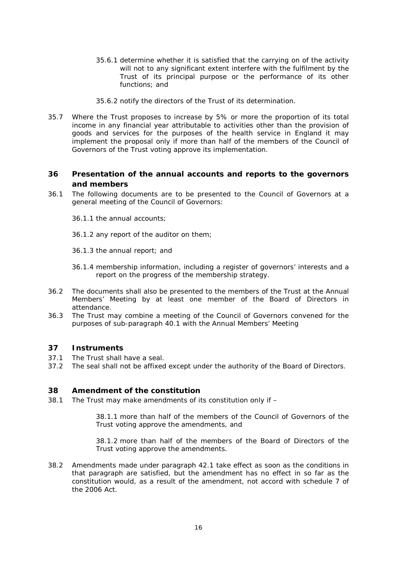- 35.6.1 determine whether it is satisfied that the carrying on of the activity will not to any significant extent interfere with the fulfilment by the Trust of its principal purpose or the performance of its other functions; and
- 35.6.2 notify the directors of the Trust of its determination.
- 35.7 Where the Trust proposes to increase by 5% or more the proportion of its total income in any financial year attributable to activities other than the provision of goods and services for the purposes of the health service in England it may implement the proposal only if more than half of the members of the Council of Governors of the Trust voting approve its implementation.

# <span id="page-15-0"></span>**36 Presentation of the annual accounts and reports to the governors and members**

- 36.1 The following documents are to be presented to the Council of Governors at a general meeting of the Council of Governors:
	- 36.1.1 the annual accounts;
	- 36.1.2 any report of the auditor on them;
	- 36.1.3 the annual report; and
	- 36.1.4 membership information, including a register of governors' interests and a report on the progress of the membership strategy.
- 36.2 The documents shall also be presented to the members of the Trust at the Annual Members' Meeting by at least one member of the Board of Directors in attendance.
- <span id="page-15-1"></span>36.3 The Trust may combine a meeting of the Council of Governors convened for the purposes of sub-paragraph 40.1 with the Annual Members' Meeting

#### **37 Instruments**

- 37.1 The Trust shall have a seal.
- <span id="page-15-2"></span>37.2 The seal shall not be affixed except under the authority of the Board of Directors.

#### **38 Amendment of the constitution**

38.1 The Trust may make amendments of its constitution only if –

38.1.1 more than half of the members of the Council of Governors of the Trust voting approve the amendments, and

38.1.2 more than half of the members of the Board of Directors of the Trust voting approve the amendments.

38.2 Amendments made under paragraph 42.1 take effect as soon as the conditions in that paragraph are satisfied, but the amendment has no effect in so far as the constitution would, as a result of the amendment, not accord with schedule 7 of the 2006 Act.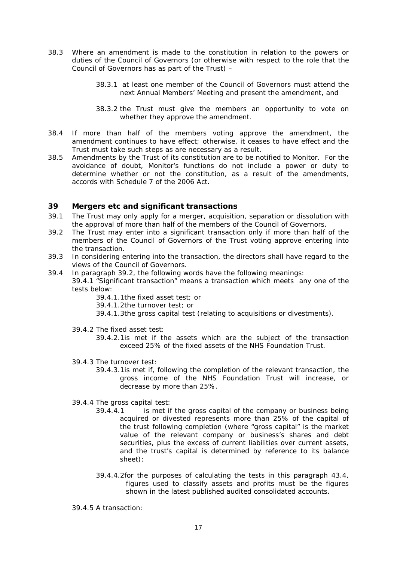- 38.3 Where an amendment is made to the constitution in relation to the powers or duties of the Council of Governors (or otherwise with respect to the role that the Council of Governors has as part of the Trust) –
	- 38.3.1 at least one member of the Council of Governors must attend the next Annual Members' Meeting and present the amendment, and
	- 38.3.2 the Trust must give the members an opportunity to vote on whether they approve the amendment.
- 38.4 If more than half of the members voting approve the amendment, the amendment continues to have effect; otherwise, it ceases to have effect and the Trust must take such steps as are necessary as a result.
- 38.5 Amendments by the Trust of its constitution are to be notified to Monitor. For the avoidance of doubt, Monitor's functions do not include a power or duty to determine whether or not the constitution, as a result of the amendments, accords with Schedule 7 of the 2006 Act.

#### <span id="page-16-0"></span>**39 Mergers etc and significant transactions**

- 39.1 The Trust may only apply for a merger, acquisition, separation or dissolution with the approval of more than half of the members of the Council of Governors.
- 39.2 The Trust may enter into a significant transaction only if more than half of the members of the Council of Governors of the Trust voting approve entering into the transaction.
- 39.3 In considering entering into the transaction, the directors shall have regard to the views of the Council of Governors.
- 39.4 In paragraph 39.2, the following words have the following meanings:
	- 39.4.1 "Significant transaction" means a transaction which meets any one of the tests below:
		- 39.4.1.1the fixed asset test; or
		- 39.4.1.2the turnover test; or
		- 39.4.1.3the gross capital test (relating to acquisitions or divestments).
	- 39.4.2 The fixed asset test:
		- 39.4.2.1is met if the assets which are the subject of the transaction exceed 25% of the fixed assets of the NHS Foundation Trust.
	- 39.4.3 The turnover test:
		- 39.4.3.1is met if, following the completion of the relevant transaction, the gross income of the NHS Foundation Trust will increase, or decrease by more than 25%.
	- 39.4.4 The gross capital test:
		- 39.4.4.1 is met if the gross capital of the company or business being acquired or divested represents more than 25% of the capital of the trust following completion (where "gross capital" is the market value of the relevant company or business's shares and debt securities, plus the excess of current liabilities over current assets, and the trust's capital is determined by reference to its balance sheet);
		- 39.4.4.2for the purposes of calculating the tests in this paragraph 43.4, figures used to classify assets and profits must be the figures shown in the latest published audited consolidated accounts.

39.4.5 A transaction: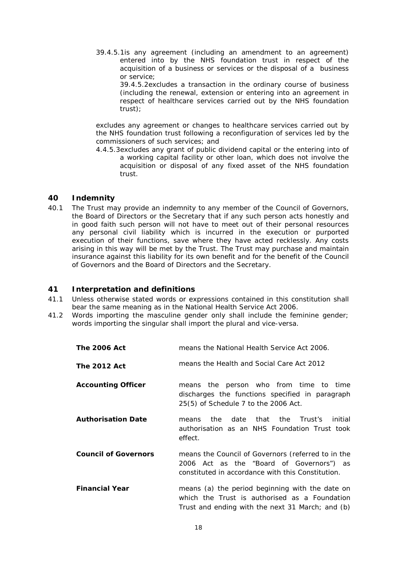39.4.5.1is any agreement (including an amendment to an agreement) entered into by the NHS foundation trust in respect of the acquisition of a business or services or the disposal of a business or service;

39.4.5.2excludes a transaction in the ordinary course of business (including the renewal, extension or entering into an agreement in respect of healthcare services carried out by the NHS foundation trust);

excludes any agreement or changes to healthcare services carried out by the NHS foundation trust following a reconfiguration of services led by the commissioners of such services; and

4.4.5.3excludes any grant of public dividend capital or the entering into of a working capital facility or other loan, which does not involve the acquisition or disposal of any fixed asset of the NHS foundation trust.

#### <span id="page-17-0"></span>**40 Indemnity**

40.1 The Trust may provide an indemnity to any member of the Council of Governors, the Board of Directors or the Secretary that if any such person acts honestly and in good faith such person will not have to meet out of their personal resources any personal civil liability which is incurred in the execution or purported execution of their functions, save where they have acted recklessly. Any costs arising in this way will be met by the Trust. The Trust may purchase and maintain insurance against this liability for its own benefit and for the benefit of the Council of Governors and the Board of Directors and the Secretary.

#### <span id="page-17-1"></span>**41 Interpretation and definitions**

- 41.1 Unless otherwise stated words or expressions contained in this constitution shall bear the same meaning as in the National Health Service Act 2006.
- 41.2 Words importing the masculine gender only shall include the feminine gender; words importing the singular shall import the plural and vice-versa.

| <b>The 2006 Act</b>         | means the National Health Service Act 2006.                                                                                                          |  |
|-----------------------------|------------------------------------------------------------------------------------------------------------------------------------------------------|--|
| <b>The 2012 Act</b>         | means the Health and Social Care Act 2012                                                                                                            |  |
| <b>Accounting Officer</b>   | means the person who from time to time<br>discharges the functions specified in paragraph<br>25(5) of Schedule 7 to the 2006 Act.                    |  |
| <b>Authorisation Date</b>   | date<br>that<br>the<br>Trust's<br>initial<br>the<br>means<br>authorisation as an NHS Foundation Trust took<br>effect.                                |  |
| <b>Council of Governors</b> | means the Council of Governors (referred to in the<br>2006 Act as the "Board of Governors") as<br>constituted in accordance with this Constitution.  |  |
| <b>Financial Year</b>       | means (a) the period beginning with the date on<br>which the Trust is authorised as a Foundation<br>Trust and ending with the next 31 March; and (b) |  |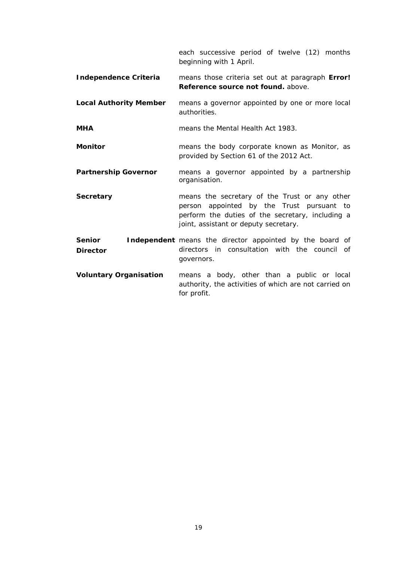each successive period of twelve (12) months beginning with 1 April.

- **Independence Criteria** means those criteria set out at paragraph **Error! Reference source not found.** above.
- **Local Authority Member** means a governor appointed by one or more local authorities.
- **MHA MHA** means the Mental Health Act 1983.
- **Monitor Monitor** means the body corporate known as Monitor, as provided by Section 61 of the 2012 Act.
- **Partnership Governor** means a governor appointed by a partnership organisation.
- **Secretary** means the secretary of the Trust or any other person appointed by the Trust pursuant to perform the duties of the secretary, including a joint, assistant or deputy secretary.

**Senior Independent** means the director appointed by the board of **Director** directors in consultation with the council of governors.

**Voluntary Organisation** means a body, other than a public or local authority, the activities of which are not carried on for profit.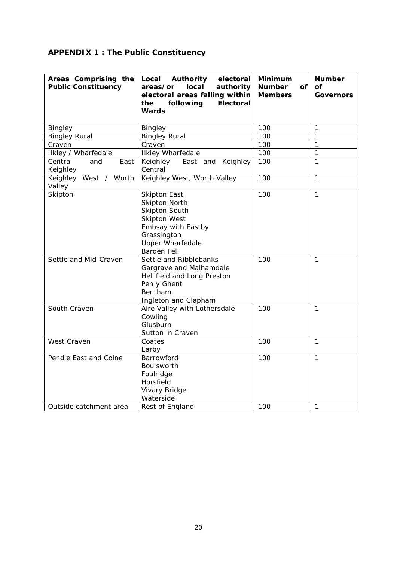# <span id="page-19-0"></span>**APPENDIX 1 : The Public Constituency**

| Areas Comprising the<br><b>Public Constituency</b> | Local Authority<br>electoral<br>local<br>areas/or<br>authority<br>electoral areas falling within<br>following<br><b>Electoral</b><br>the<br>Wards                                | <b>Minimum</b><br><b>Number</b><br>Οf<br><b>Members</b> | <b>Number</b><br>Οf<br><b>Governors</b> |
|----------------------------------------------------|----------------------------------------------------------------------------------------------------------------------------------------------------------------------------------|---------------------------------------------------------|-----------------------------------------|
|                                                    |                                                                                                                                                                                  | 100                                                     | 1                                       |
| <b>Bingley</b>                                     | <b>Bingley</b>                                                                                                                                                                   | 100                                                     | $\mathbf{1}$                            |
| <b>Bingley Rural</b><br>Craven                     | <b>Bingley Rural</b><br>Craven                                                                                                                                                   | 100                                                     | 1                                       |
|                                                    |                                                                                                                                                                                  |                                                         | 1                                       |
| Ilkley / Wharfedale                                | <b>Ilkley Wharfedale</b>                                                                                                                                                         | 100                                                     |                                         |
| Central<br>East<br>and<br>Keighley                 | Keighley<br>East and Keighley<br>Central                                                                                                                                         | 100                                                     | $\mathbf{1}$                            |
| Keighley West / Worth<br>Valley                    | Keighley West, Worth Valley                                                                                                                                                      | 100                                                     | 1                                       |
| Skipton                                            | <b>Skipton East</b><br><b>Skipton North</b><br><b>Skipton South</b><br><b>Skipton West</b><br>Embsay with Eastby<br>Grassington<br><b>Upper Wharfedale</b><br><b>Barden Fell</b> | 100                                                     | 1                                       |
| Settle and Mid-Craven                              | Settle and Ribblebanks<br>Gargrave and Malhamdale<br>Hellifield and Long Preston<br>Pen y Ghent<br>Bentham<br>Ingleton and Clapham                                               | 100                                                     | 1                                       |
| South Craven                                       | Aire Valley with Lothersdale<br>Cowling<br>Glusburn<br>Sutton in Craven                                                                                                          | 100                                                     | 1                                       |
| West Craven                                        | Coates<br>Earby                                                                                                                                                                  | 100                                                     | 1                                       |
| Pendle East and Colne<br>Outside catchment area    | Barrowford<br>Boulsworth<br>Foulridge<br>Horsfield<br>Vivary Bridge<br>Waterside                                                                                                 | 100<br>100                                              | $\mathbf{1}$<br>1                       |
|                                                    | Rest of England                                                                                                                                                                  |                                                         |                                         |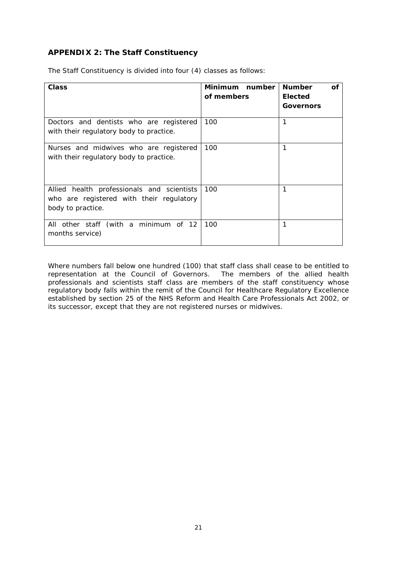# <span id="page-20-0"></span>**APPENDIX 2: The Staff Constituency**

| Class                                                                                                       | Minimum number<br>of members | <b>Number</b><br>Οf<br><b>Elected</b><br>Governors |
|-------------------------------------------------------------------------------------------------------------|------------------------------|----------------------------------------------------|
| Doctors and dentists who are registered<br>with their regulatory body to practice.                          | 100                          | 1                                                  |
| Nurses and midwives who are registered<br>with their regulatory body to practice.                           | 100                          | 1                                                  |
| Allied health professionals and scientists<br>who are registered with their regulatory<br>body to practice. | 100                          | 1                                                  |
| All other staff (with a minimum of 12<br>months service)                                                    | 100                          | 1                                                  |

The Staff Constituency is divided into four (4) classes as follows:

Where numbers fall below one hundred (100) that staff class shall cease to be entitled to representation at the Council of Governors. The members of the allied health professionals and scientists staff class are members of the staff constituency whose regulatory body falls within the remit of the Council for Healthcare Regulatory Excellence established by section 25 of the NHS Reform and Health Care Professionals Act 2002, or its successor, except that they are not registered nurses or midwives.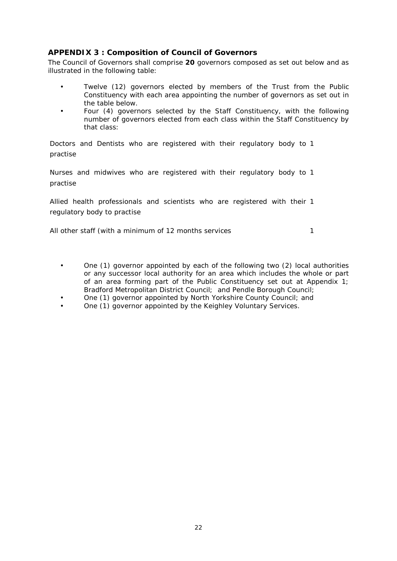# <span id="page-21-0"></span>**APPENDIX 3 : Composition of Council of Governors**

The Council of Governors shall comprise **20** governors composed as set out below and as illustrated in the following table:

- Twelve (12) governors elected by members of the Trust from the Public Constituency with each area appointing the number of governors as set out in the table below.
- Four (4) governors selected by the Staff Constituency, with the following number of governors elected from each class within the Staff Constituency by that class:

Doctors and Dentists who are registered with their regulatory body to 1 practise

Nurses and midwives who are registered with their regulatory body to 1 practise

Allied health professionals and scientists who are registered with their 1 regulatory body to practise

All other staff (with a minimum of 12 months services 1

- One (1) governor appointed by each of the following two (2) local authorities or any successor local authority for an area which includes the whole or part of an area forming part of the Public Constituency set out at Appendix 1; Bradford Metropolitan District Council; and Pendle Borough Council;
- One (1) governor appointed by North Yorkshire County Council; and
- One (1) governor appointed by the Keighley Voluntary Services.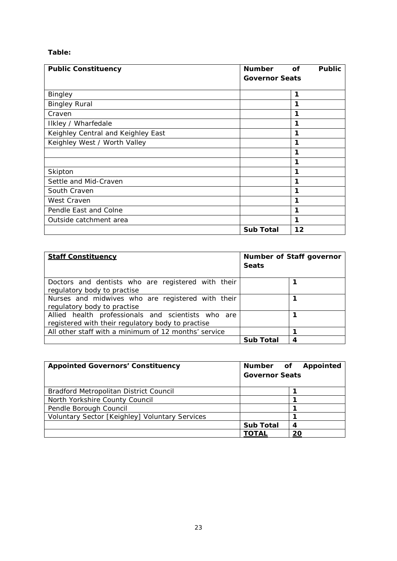# **Table:**

| <b>Public Constituency</b>         | <b>Number</b>         | <b>of</b> | <b>Public</b> |
|------------------------------------|-----------------------|-----------|---------------|
|                                    | <b>Governor Seats</b> |           |               |
|                                    |                       |           |               |
| <b>Bingley</b>                     |                       | 1         |               |
| <b>Bingley Rural</b>               |                       | 1         |               |
| Craven                             |                       | 1         |               |
| Ilkley / Wharfedale                |                       | 1         |               |
| Keighley Central and Keighley East |                       | 1         |               |
| Keighley West / Worth Valley       |                       | 1         |               |
|                                    |                       | 1         |               |
|                                    |                       | 1         |               |
| Skipton                            |                       | 1         |               |
| Settle and Mid-Craven              |                       | 1         |               |
| South Craven                       |                       | 1         |               |
| West Craven                        |                       | 1         |               |
| Pendle East and Colne              |                       | 1         |               |
| Outside catchment area             |                       | 1         |               |
|                                    | <b>Sub Total</b>      | 12        |               |

| <b>Staff Constituency</b>                                                                               | <b>Seats</b>     | Number of Staff governor |
|---------------------------------------------------------------------------------------------------------|------------------|--------------------------|
| Doctors and dentists who are registered with their<br>regulatory body to practise                       |                  |                          |
| Nurses and midwives who are registered with their<br>regulatory body to practise                        |                  |                          |
| Allied health professionals and scientists who are<br>registered with their regulatory body to practise |                  |                          |
| All other staff with a minimum of 12 months' service                                                    |                  |                          |
|                                                                                                         | <b>Sub Total</b> | 4                        |

| <b>Appointed Governors' Constituency</b>       | <b>Governor Seats</b> | Number of Appointed |
|------------------------------------------------|-----------------------|---------------------|
| Bradford Metropolitan District Council         |                       |                     |
| North Yorkshire County Council                 |                       |                     |
| Pendle Borough Council                         |                       |                     |
| Voluntary Sector [Keighley] Voluntary Services |                       |                     |
|                                                | <b>Sub Total</b>      |                     |
|                                                | TOTAL                 | 20                  |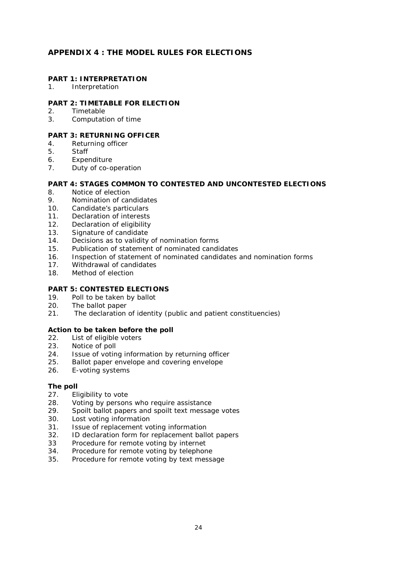# <span id="page-23-0"></span>**APPENDIX 4 : THE MODEL RULES FOR ELECTIONS**

#### **PART 1: INTERPRETATION**

1. Interpretation

#### **PART 2: TIMETABLE FOR ELECTION**

- 2. Timetable
- 3. Computation of time

# **PART 3: RETURNING OFFICER**

- 4. Returning officer
- 5. Staff
- 6. Expenditure
- 7. Duty of co-operation

#### **PART 4: STAGES COMMON TO CONTESTED AND UNCONTESTED ELECTIONS**

- 8. Notice of election
- 9. Nomination of candidates
- 10. Candidate's particulars
- 11. Declaration of interests
- 12. Declaration of eligibility<br>13. Signature of candidate
- Signature of candidate
- 14. Decisions as to validity of nomination forms
- 15. Publication of statement of nominated candidates
- 16. Inspection of statement of nominated candidates and nomination forms
- 17. Withdrawal of candidates
- 18. Method of election

#### **PART 5: CONTESTED ELECTIONS**

- 19. Poll to be taken by ballot
- 20. The ballot paper
- 21. The declaration of identity (public and patient constituencies)

#### *Action to be taken before the poll*

- 22. List of eligible voters<br>23. Notice of poll
- Notice of poll
- 24. Issue of voting information by returning officer
- 25. Ballot paper envelope and covering envelope
- 26. E-voting systems

#### *The poll*

- 27. Eligibility to vote
- 28. Voting by persons who require assistance
- 29. Spoilt ballot papers and spoilt text message votes
- 30. Lost voting information
- 31. Issue of replacement voting information
- 32. ID declaration form for replacement ballot papers
- 33 Procedure for remote voting by internet
- 34. Procedure for remote voting by telephone
- 35. Procedure for remote voting by text message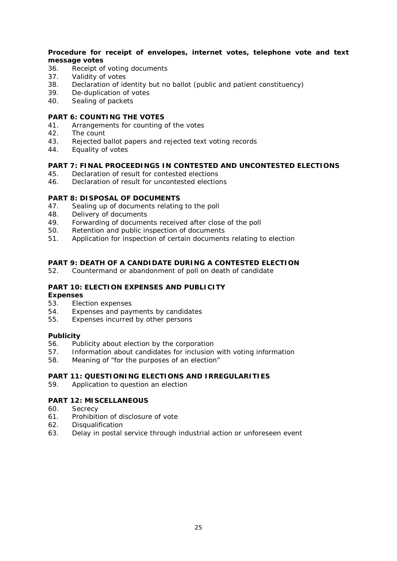#### *Procedure for receipt of envelopes, internet votes, telephone vote and text message votes*

- 36. Receipt of voting documents
- 37. Validity of votes
- 38. Declaration of identity but no ballot (public and patient constituency)<br>39 De-duplication of votes
- De-duplication of votes
- 40. Sealing of packets
- **PART 6: COUNTING THE VOTES**
- 41. Arrangements for counting of the votes
- 42. The count
- 43. Rejected ballot papers and rejected text voting records
- 44. Equality of votes

# **PART 7: FINAL PROCEEDINGS IN CONTESTED AND UNCONTESTED ELECTIONS**

- 45. Declaration of result for contested elections
- 46. Declaration of result for uncontested elections

#### **PART 8: DISPOSAL OF DOCUMENTS**

- 47. Sealing up of documents relating to the poll
- 48. Delivery of documents
- 49. Forwarding of documents received after close of the poll
- 50. Retention and public inspection of documents<br>51 Application for inspection of certain document
- Application for inspection of certain documents relating to election

#### **PART 9: DEATH OF A CANDIDATE DURING A CONTESTED ELECTION**

52. Countermand or abandonment of poll on death of candidate

#### **PART 10: ELECTION EXPENSES AND PUBLICITY**

#### *Expenses*

- 53. Election expenses<br>54. Expenses and pay
- Expenses and payments by candidates
- 55. Expenses incurred by other persons

#### *Publicity*

- 56. Publicity about election by the corporation
- 57. Information about candidates for inclusion with voting information
- 58. Meaning of "for the purposes of an election"

#### **PART 11: QUESTIONING ELECTIONS AND IRREGULARITIES**

59. Application to question an election

# **PART 12: MISCELLANEOUS**

- 60. Secrecy
- 61. Prohibition of disclosure of vote
- 62. Disqualification
- 63. Delay in postal service through industrial action or unforeseen event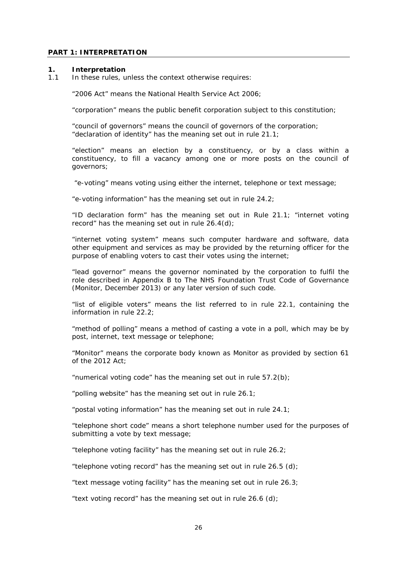#### **PART 1: INTERPRETATION**

#### **1. Interpretation**

1.1 In these rules, unless the context otherwise requires:

"2006 Act" means the National Health Service Act 2006;

"corporation" means the public benefit corporation subject to this constitution;

"council of governors" means the council of governors of the corporation; "declaration of identity" has the meaning set out in rule 21.1;

"election" means an election by a constituency, or by a class within a constituency, to fill a vacancy among one or more posts on the council of governors;

"e-voting" means voting using either the internet, telephone or text message;

"e-voting information" has the meaning set out in rule 24.2;

"ID declaration form" has the meaning set out in Rule 21.1; "internet voting record" has the meaning set out in rule 26.4(d);

"internet voting system" means such computer hardware and software, data other equipment and services as may be provided by the returning officer for the purpose of enabling voters to cast their votes using the internet;

"lead governor" means the governor nominated by the corporation to fulfil the role described in Appendix B to The NHS Foundation Trust Code of Governance (Monitor, December 2013) or any later version of such code.

"list of eligible voters" means the list referred to in rule 22.1, containing the information in rule 22.2;

"method of polling" means a method of casting a vote in a poll, which may be by post, internet, text message or telephone;

"Monitor" means the corporate body known as Monitor as provided by section 61 of the 2012 Act;

"numerical voting code" has the meaning set out in rule 57.2(b);

"polling website" has the meaning set out in rule 26.1;

"postal voting information" has the meaning set out in rule 24.1;

"telephone short code" means a short telephone number used for the purposes of submitting a vote by text message;

"telephone voting facility" has the meaning set out in rule 26.2;

"telephone voting record" has the meaning set out in rule 26.5 (d);

"text message voting facility" has the meaning set out in rule 26.3;

"text voting record" has the meaning set out in rule 26.6 (d);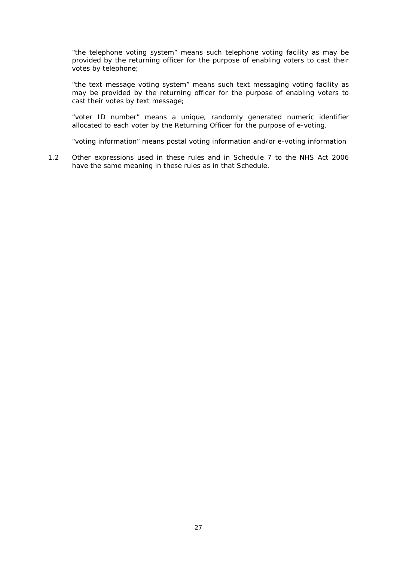"the telephone voting system" means such telephone voting facility as may be provided by the returning officer for the purpose of enabling voters to cast their votes by telephone;

"the text message voting system" means such text messaging voting facility as may be provided by the returning officer for the purpose of enabling voters to cast their votes by text message;

"voter ID number" means a unique, randomly generated numeric identifier allocated to each voter by the Returning Officer for the purpose of e-voting,

"voting information" means postal voting information and/or e-voting information

1.2 Other expressions used in these rules and in Schedule 7 to the NHS Act 2006 have the same meaning in these rules as in that Schedule.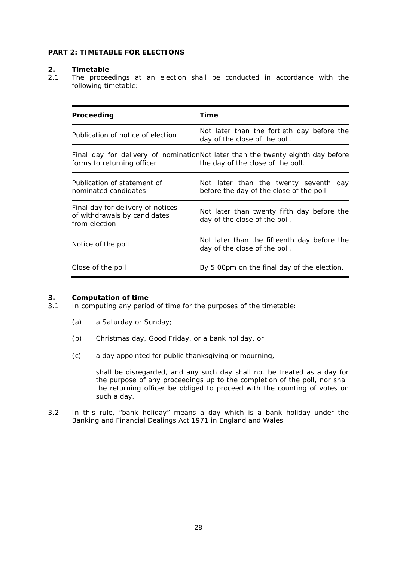#### **PART 2: TIMETABLE FOR ELECTIONS**

#### **2. Timetable**

2.1 The proceedings at an election shall be conducted in accordance with the following timetable:

| Proceeding                                                                         | Time                                                                                                                 |
|------------------------------------------------------------------------------------|----------------------------------------------------------------------------------------------------------------------|
| Publication of notice of election                                                  | Not later than the fortieth day before the<br>day of the close of the poll.                                          |
| forms to returning officer                                                         | Final day for delivery of nominationNot later than the twenty eighth day before<br>the day of the close of the poll. |
| Publication of statement of<br>nominated candidates                                | Not later than the twenty seventh day<br>before the day of the close of the poll.                                    |
| Final day for delivery of notices<br>of withdrawals by candidates<br>from election | Not later than twenty fifth day before the<br>day of the close of the poll.                                          |
| Notice of the poll                                                                 | Not later than the fifteenth day before the<br>day of the close of the poll.                                         |
| Close of the poll                                                                  | By 5.00pm on the final day of the election.                                                                          |

# **3. Computation of time**<br>**3.1 In computing any perior**

- In computing any period of time for the purposes of the timetable:
	- (a) a Saturday or Sunday;
	- (b) Christmas day, Good Friday, or a bank holiday, or
	- (c) a day appointed for public thanksgiving or mourning,

shall be disregarded, and any such day shall not be treated as a day for the purpose of any proceedings up to the completion of the poll, nor shall the returning officer be obliged to proceed with the counting of votes on such a day.

3.2 In this rule, "bank holiday" means a day which is a bank holiday under the Banking and Financial Dealings Act 1971 in England and Wales.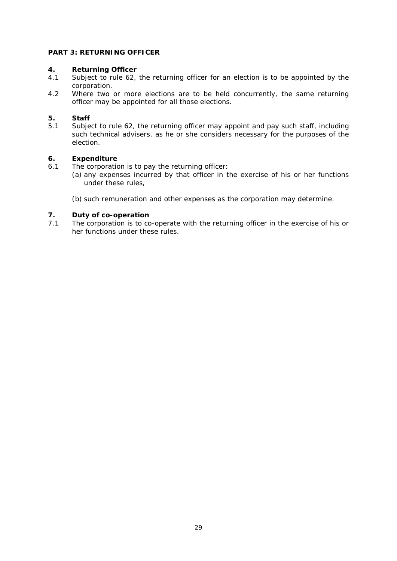# **PART 3: RETURNING OFFICER**

# **4. Returning Officer**

- Subject to rule 62, the returning officer for an election is to be appointed by the corporation.
- 4.2 Where two or more elections are to be held concurrently, the same returning officer may be appointed for all those elections.

#### **5. Staff**

5.1 Subject to rule 62, the returning officer may appoint and pay such staff, including such technical advisers, as he or she considers necessary for the purposes of the election.

#### **6. Expenditure**

- 6.1 The corporation is to pay the returning officer:
	- (a) any expenses incurred by that officer in the exercise of his or her functions under these rules,
	- (b) such remuneration and other expenses as the corporation may determine.

# **7. Duty of co-operation**<br>**7.1** The corporation is to co

The corporation is to co-operate with the returning officer in the exercise of his or her functions under these rules.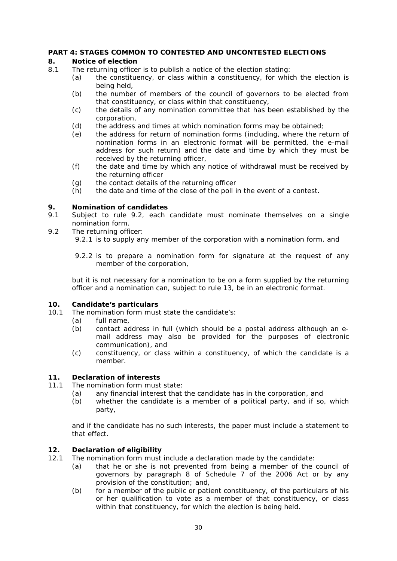#### **PART 4: STAGES COMMON TO CONTESTED AND UNCONTESTED ELECTIONS**

#### **8. Notice of election**

- 8.1 The returning officer is to publish a notice of the election stating:
	- (a) the constituency, or class within a constituency, for which the election is being held,
	- (b) the number of members of the council of governors to be elected from that constituency, or class within that constituency,
	- (c) the details of any nomination committee that has been established by the corporation,
	- (d) the address and times at which nomination forms may be obtained;
	- (e) the address for return of nomination forms (including, where the return of nomination forms in an electronic format will be permitted, the e-mail address for such return) and the date and time by which they must be received by the returning officer,
	- (f) the date and time by which any notice of withdrawal must be received by the returning officer
	- (g) the contact details of the returning officer
	- (h) the date and time of the close of the poll in the event of a contest.

#### **9. Nomination of candidates**

- 9.1 Subject to rule 9.2, each candidate must nominate themselves on a single nomination form.
- 9.2 The returning officer:
	- 9.2.1 is to supply any member of the corporation with a nomination form, and
	- 9.2.2 is to prepare a nomination form for signature at the request of any member of the corporation,

but it is not necessary for a nomination to be on a form supplied by the returning officer and a nomination can, subject to rule 13, be in an electronic format.

#### **10. Candidate's particulars**

- 10.1 The nomination form must state the candidate's:
	- (a) full name,
		- (b) contact address in full (which should be a postal address although an email address may also be provided for the purposes of electronic communication), and
		- (c) constituency, or class within a constituency, of which the candidate is a member.

#### **11. Declaration of interests**

- 11.1 The nomination form must state:
	- (a) any financial interest that the candidate has in the corporation, and
		- (b) whether the candidate is a member of a political party, and if so, which party,

and if the candidate has no such interests, the paper must include a statement to that effect.

#### **12. Declaration of eligibility**

- 12.1 The nomination form must include a declaration made by the candidate:
	- (a) that he or she is not prevented from being a member of the council of governors by paragraph 8 of Schedule 7 of the 2006 Act or by any provision of the constitution; and,
	- (b) for a member of the public or patient constituency, of the particulars of his or her qualification to vote as a member of that constituency, or class within that constituency, for which the election is being held.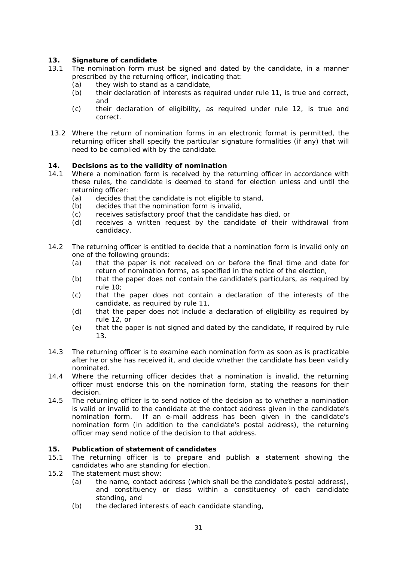### **13. Signature of candidate**

- 13.1 The nomination form must be signed and dated by the candidate, in a manner prescribed by the returning officer, indicating that:
	- (a) they wish to stand as a candidate,<br>(b) their declaration of interests as red
	- their declaration of interests as required under rule 11, is true and correct, and
	- (c) their declaration of eligibility, as required under rule 12, is true and correct.
- 13.2 Where the return of nomination forms in an electronic format is permitted, the returning officer shall specify the particular signature formalities (if any) that will need to be complied with by the candidate.

#### **14. Decisions as to the validity of nomination**

- 14.1 Where a nomination form is received by the returning officer in accordance with these rules, the candidate is deemed to stand for election unless and until the returning officer:
	- (a) decides that the candidate is not eligible to stand,
	- (b) decides that the nomination form is invalid,
	- (c) receives satisfactory proof that the candidate has died, or
	- (d) receives a written request by the candidate of their withdrawal from candidacy.
- 14.2 The returning officer is entitled to decide that a nomination form is invalid only on one of the following grounds:
	- (a) that the paper is not received on or before the final time and date for return of nomination forms, as specified in the notice of the election,
	- (b) that the paper does not contain the candidate's particulars, as required by rule 10;
	- (c) that the paper does not contain a declaration of the interests of the candidate, as required by rule 11,
	- (d) that the paper does not include a declaration of eligibility as required by rule 12, or
	- (e) that the paper is not signed and dated by the candidate, if required by rule 13.
- 14.3 The returning officer is to examine each nomination form as soon as is practicable after he or she has received it, and decide whether the candidate has been validly nominated.
- 14.4 Where the returning officer decides that a nomination is invalid, the returning officer must endorse this on the nomination form, stating the reasons for their decision.
- 14.5 The returning officer is to send notice of the decision as to whether a nomination is valid or invalid to the candidate at the contact address given in the candidate's nomination form. If an e-mail address has been given in the candidate's nomination form (in addition to the candidate's postal address), the returning officer may send notice of the decision to that address.

#### **15. Publication of statement of candidates**

- 15.1 The returning officer is to prepare and publish a statement showing the candidates who are standing for election.
- 15.2 The statement must show:
	- (a) the name, contact address (which shall be the candidate's postal address), and constituency or class within a constituency of each candidate standing, and
	- (b) the declared interests of each candidate standing,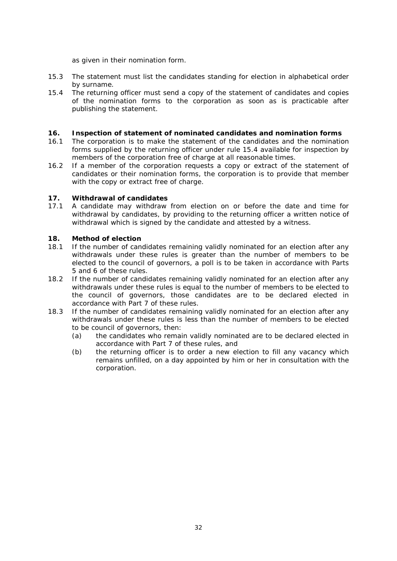as given in their nomination form.

- 15.3 The statement must list the candidates standing for election in alphabetical order by surname.
- 15.4 The returning officer must send a copy of the statement of candidates and copies of the nomination forms to the corporation as soon as is practicable after publishing the statement.

#### **16. Inspection of statement of nominated candidates and nomination forms**

- 16.1 The corporation is to make the statement of the candidates and the nomination forms supplied by the returning officer under rule 15.4 available for inspection by members of the corporation free of charge at all reasonable times.
- 16.2 If a member of the corporation requests a copy or extract of the statement of candidates or their nomination forms, the corporation is to provide that member with the copy or extract free of charge.

#### **17. Withdrawal of candidates**

17.1 A candidate may withdraw from election on or before the date and time for withdrawal by candidates, by providing to the returning officer a written notice of withdrawal which is signed by the candidate and attested by a witness.

#### **18. Method of election**

- 18.1 If the number of candidates remaining validly nominated for an election after any withdrawals under these rules is greater than the number of members to be elected to the council of governors, a poll is to be taken in accordance with Parts 5 and 6 of these rules.
- 18.2 If the number of candidates remaining validly nominated for an election after any withdrawals under these rules is equal to the number of members to be elected to the council of governors, those candidates are to be declared elected in accordance with Part 7 of these rules.
- 18.3 If the number of candidates remaining validly nominated for an election after any withdrawals under these rules is less than the number of members to be elected to be council of governors, then:
	- (a) the candidates who remain validly nominated are to be declared elected in accordance with Part 7 of these rules, and
	- (b) the returning officer is to order a new election to fill any vacancy which remains unfilled, on a day appointed by him or her in consultation with the corporation.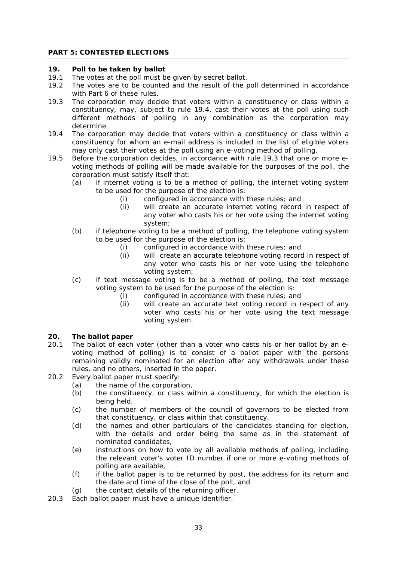#### **PART 5: CONTESTED ELECTIONS**

#### **19. Poll to be taken by ballot**

- 19.1 The votes at the poll must be given by secret ballot.
- 19.2 The votes are to be counted and the result of the poll determined in accordance with Part 6 of these rules.
- 19.3 The corporation may decide that voters within a constituency or class within a constituency, may, subject to rule 19.4, cast their votes at the poll using such different methods of polling in any combination as the corporation may determine.
- 19.4 The corporation may decide that voters within a constituency or class within a constituency for whom an e-mail address is included in the list of eligible voters may only cast their votes at the poll using an e-voting method of polling.
- 19.5 Before the corporation decides, in accordance with rule 19.3 that one or more evoting methods of polling will be made available for the purposes of the poll, the corporation must satisfy itself that:
	- (a) if internet voting is to be a method of polling, the internet voting system to be used for the purpose of the election is:
		- (i) configured in accordance with these rules; and
		- (ii) will create an accurate internet voting record in respect of any voter who casts his or her vote using the internet voting system;
	- (b) if telephone voting to be a method of polling, the telephone voting system to be used for the purpose of the election is:
		- (i) configured in accordance with these rules; and
		- (ii) will create an accurate telephone voting record in respect of any voter who casts his or her vote using the telephone voting system;
	- (c) if text message voting is to be a method of polling, the text message voting system to be used for the purpose of the election is:
		- (i) configured in accordance with these rules; and
		- (ii) will create an accurate text voting record in respect of any voter who casts his or her vote using the text message voting system.

#### **20. The ballot paper**

- 20.1 The ballot of each voter (other than a voter who casts his or her ballot by an evoting method of polling) is to consist of a ballot paper with the persons remaining validly nominated for an election after any withdrawals under these rules, and no others, inserted in the paper.
- 20.2 Every ballot paper must specify:
	- (a) the name of the corporation,
		- (b) the constituency, or class within a constituency, for which the election is being held,
		- (c) the number of members of the council of governors to be elected from that constituency, or class within that constituency,
		- (d) the names and other particulars of the candidates standing for election, with the details and order being the same as in the statement of nominated candidates,
		- (e) instructions on how to vote by all available methods of polling, including the relevant voter's voter ID number if one or more e-voting methods of polling are available,
		- (f) if the ballot paper is to be returned by post, the address for its return and the date and time of the close of the poll, and
	- (g) the contact details of the returning officer.
- 20.3 Each ballot paper must have a unique identifier.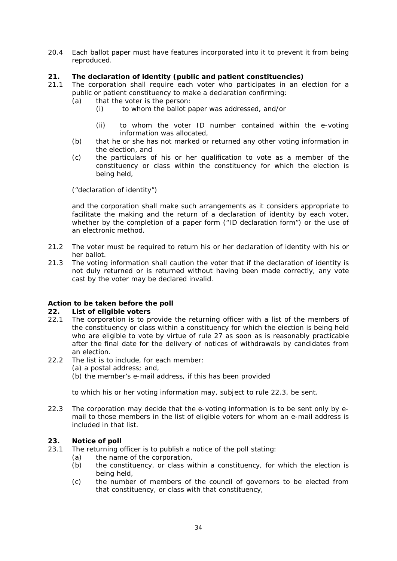20.4 Each ballot paper must have features incorporated into it to prevent it from being reproduced.

#### **21. The declaration of identity (public and patient constituencies)**

- 21.1 The corporation shall require each voter who participates in an election for a public or patient constituency to make a declaration confirming:
	- (a) that the voter is the person:
		- (i) to whom the ballot paper was addressed, and/or
		- (ii) to whom the voter ID number contained within the e-voting information was allocated,
	- (b) that he or she has not marked or returned any other voting information in the election, and
	- (c) the particulars of his or her qualification to vote as a member of the constituency or class within the constituency for which the election is being held,

("declaration of identity")

and the corporation shall make such arrangements as it considers appropriate to facilitate the making and the return of a declaration of identity by each voter, whether by the completion of a paper form ("ID declaration form") or the use of an electronic method.

- 21.2 The voter must be required to return his or her declaration of identity with his or her ballot.
- 21.3 The voting information shall caution the voter that if the declaration of identity is not duly returned or is returned without having been made correctly, any vote cast by the voter may be declared invalid.

#### *Action to be taken before the poll*

#### **22. List of eligible voters**

- 22.1 The corporation is to provide the returning officer with a list of the members of the constituency or class within a constituency for which the election is being held who are eligible to vote by virtue of rule 27 as soon as is reasonably practicable after the final date for the delivery of notices of withdrawals by candidates from an election.
- 22.2 The list is to include, for each member:
	- (a) a postal address; and,
		- (b) the member's e-mail address, if this has been provided

to which his or her voting information may, subject to rule 22.3, be sent.

22.3 The corporation may decide that the e-voting information is to be sent only by email to those members in the list of eligible voters for whom an e-mail address is included in that list.

#### **23. Notice of poll**

- 23.1 The returning officer is to publish a notice of the poll stating:
	- (a) the name of the corporation,
	- (b) the constituency, or class within a constituency, for which the election is being held,
	- (c) the number of members of the council of governors to be elected from that constituency, or class with that constituency,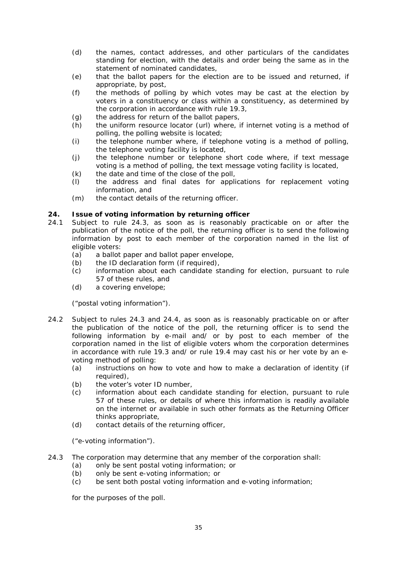- (d) the names, contact addresses, and other particulars of the candidates standing for election, with the details and order being the same as in the statement of nominated candidates,
- (e) that the ballot papers for the election are to be issued and returned, if appropriate, by post,
- (f) the methods of polling by which votes may be cast at the election by voters in a constituency or class within a constituency, as determined by the corporation in accordance with rule 19.3,
- (g) the address for return of the ballot papers,
- (h) the uniform resource locator (url) where, if internet voting is a method of polling, the polling website is located;
- (i) the telephone number where, if telephone voting is a method of polling, the telephone voting facility is located,
- (j) the telephone number or telephone short code where, if text message voting is a method of polling, the text message voting facility is located,
- $(k)$  the date and time of the close of the poll,
- (l) the address and final dates for applications for replacement voting information, and
- (m) the contact details of the returning officer.

#### **24. Issue of voting information by returning officer**

- 24.1 Subject to rule 24.3, as soon as is reasonably practicable on or after the publication of the notice of the poll, the returning officer is to send the following information by post to each member of the corporation named in the list of eligible voters:
	- (a) a ballot paper and ballot paper envelope,
	- (b) the ID declaration form (if required),
	- (c) information about each candidate standing for election, pursuant to rule 57 of these rules, and
	- (d) a covering envelope;

("postal voting information").

- 24.2 Subject to rules 24.3 and 24.4, as soon as is reasonably practicable on or after the publication of the notice of the poll, the returning officer is to send the following information by e-mail and/ or by post to each member of the corporation named in the list of eligible voters whom the corporation determines in accordance with rule 19.3 and/ or rule 19.4 may cast his or her vote by an evoting method of polling:
	- (a) instructions on how to vote and how to make a declaration of identity (if required).
	- (b) the voter's voter ID number,
	- (c) information about each candidate standing for election, pursuant to rule 57 of these rules, or details of where this information is readily available on the internet or available in such other formats as the Returning Officer thinks appropriate,
	- (d) contact details of the returning officer,

("e-voting information").

- 24.3 The corporation may determine that any member of the corporation shall:
	- (a) only be sent postal voting information; or
	- (b) only be sent e-voting information; or
	- (c) be sent both postal voting information and e-voting information;

for the purposes of the poll.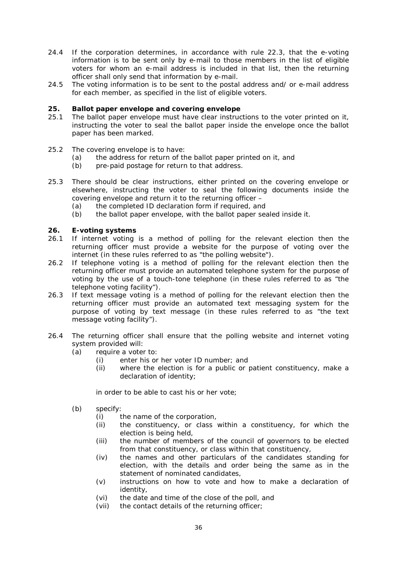- 24.4 If the corporation determines, in accordance with rule 22.3, that the e-voting information is to be sent only by e-mail to those members in the list of eligible voters for whom an e-mail address is included in that list, then the returning officer shall only send that information by e-mail.
- 24.5 The voting information is to be sent to the postal address and/ or e-mail address for each member, as specified in the list of eligible voters.

#### **25. Ballot paper envelope and covering envelope**

- 25.1 The ballot paper envelope must have clear instructions to the voter printed on it, instructing the voter to seal the ballot paper inside the envelope once the ballot paper has been marked.
- 25.2 The covering envelope is to have:
	- (a) the address for return of the ballot paper printed on it, and
	- (b) pre-paid postage for return to that address.
- 25.3 There should be clear instructions, either printed on the covering envelope or elsewhere, instructing the voter to seal the following documents inside the covering envelope and return it to the returning officer –
	- (a) the completed ID declaration form if required, and
	- (b) the ballot paper envelope, with the ballot paper sealed inside it.

# **26.** E-voting systems<br>26.1 If internet voting

- If internet voting is a method of polling for the relevant election then the returning officer must provide a website for the purpose of voting over the internet (in these rules referred to as "the polling website").
- 26.2 If telephone voting is a method of polling for the relevant election then the returning officer must provide an automated telephone system for the purpose of voting by the use of a touch-tone telephone (in these rules referred to as "the telephone voting facility").
- 26.3 If text message voting is a method of polling for the relevant election then the returning officer must provide an automated text messaging system for the purpose of voting by text message (in these rules referred to as "the text message voting facility").
- 26.4 The returning officer shall ensure that the polling website and internet voting system provided will:
	- (a) require a voter to:
		- (i) enter his or her voter ID number; and
		- (ii) where the election is for a public or patient constituency, make a declaration of identity;

in order to be able to cast his or her vote;

- (b) specify:
	- (i) the name of the corporation,
	- (ii) the constituency, or class within a constituency, for which the election is being held,
	- (iii) the number of members of the council of governors to be elected from that constituency, or class within that constituency,
	- (iv) the names and other particulars of the candidates standing for election, with the details and order being the same as in the statement of nominated candidates,
	- (v) instructions on how to vote and how to make a declaration of identity,
	- (vi) the date and time of the close of the poll, and
	- (vii) the contact details of the returning officer;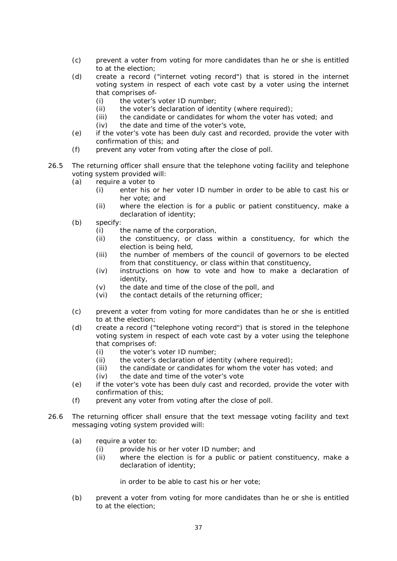- (c) prevent a voter from voting for more candidates than he or she is entitled to at the election;
- (d) create a record ("internet voting record") that is stored in the internet voting system in respect of each vote cast by a voter using the internet that comprises of-
	- (i) the voter's voter ID number;
	- (ii) the voter's declaration of identity (where required);<br>(iii) the candidate or candidates for whom the voter has
	- the candidate or candidates for whom the voter has voted; and
	- (iv) the date and time of the voter's vote,
- (e) if the voter's vote has been duly cast and recorded, provide the voter with confirmation of this; and
- (f) prevent any voter from voting after the close of poll.
- 26.5 The returning officer shall ensure that the telephone voting facility and telephone voting system provided will:
	- (a) require a voter to
		- (i) enter his or her voter ID number in order to be able to cast his or her vote; and
		- (ii) where the election is for a public or patient constituency, make a declaration of identity;
	- (b) specify:
		- (i) the name of the corporation,<br>(ii) the constituency, or class
		- the constituency, or class within a constituency, for which the election is being held,
		- (iii) the number of members of the council of governors to be elected from that constituency, or class within that constituency,
		- (iv) instructions on how to vote and how to make a declaration of identity,
		- (v) the date and time of the close of the poll, and
		- (vi) the contact details of the returning officer;
	- (c) prevent a voter from voting for more candidates than he or she is entitled to at the election;
	- (d) create a record ("telephone voting record") that is stored in the telephone voting system in respect of each vote cast by a voter using the telephone that comprises of:
		- (i) the voter's voter ID number;
		- (ii) the voter's declaration of identity (where required);
		- (iii) the candidate or candidates for whom the voter has voted; and
		- (iv) the date and time of the voter's vote
	- (e) if the voter's vote has been duly cast and recorded, provide the voter with confirmation of this;
	- (f) prevent any voter from voting after the close of poll.
- 26.6 The returning officer shall ensure that the text message voting facility and text messaging voting system provided will:
	- (a) require a voter to:
		- (i) provide his or her voter ID number; and
		- (ii) where the election is for a public or patient constituency, make a declaration of identity;

in order to be able to cast his or her vote;

(b) prevent a voter from voting for more candidates than he or she is entitled to at the election;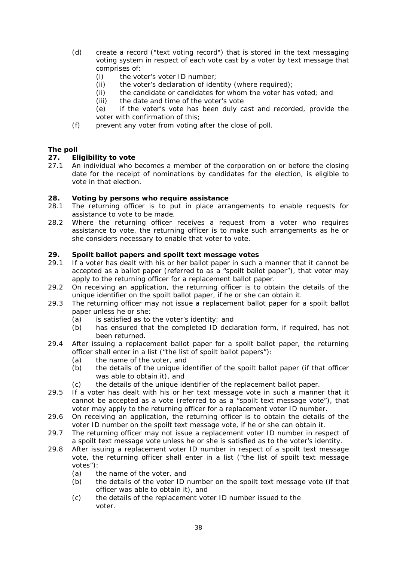- (d) create a record ("text voting record") that is stored in the text messaging voting system in respect of each vote cast by a voter by text message that comprises of:
	- (i) the voter's voter ID number;
	- (ii) the voter's declaration of identity (where required);
	- (ii) the candidate or candidates for whom the voter has voted; and
	- (iii) the date and time of the voter's vote
	- (e) if the voter's vote has been duly cast and recorded, provide the voter with confirmation of this;
- (f) prevent any voter from voting after the close of poll.

#### *The poll*

#### **27. Eligibility to vote**

27.1 An individual who becomes a member of the corporation on or before the closing date for the receipt of nominations by candidates for the election, is eligible to vote in that election.

#### **28. Voting by persons who require assistance**

- 28.1 The returning officer is to put in place arrangements to enable requests for assistance to vote to be made.
- 28.2 Where the returning officer receives a request from a voter who requires assistance to vote, the returning officer is to make such arrangements as he or she considers necessary to enable that voter to vote.

#### **29. Spoilt ballot papers and spoilt text message votes**

- 29.1 If a voter has dealt with his or her ballot paper in such a manner that it cannot be accepted as a ballot paper (referred to as a "spoilt ballot paper"), that voter may apply to the returning officer for a replacement ballot paper.
- 29.2 On receiving an application, the returning officer is to obtain the details of the unique identifier on the spoilt ballot paper, if he or she can obtain it.
- 29.3 The returning officer may not issue a replacement ballot paper for a spoilt ballot paper unless he or she:
	- (a) is satisfied as to the voter's identity; and
	- (b) has ensured that the completed ID declaration form, if required, has not been returned.
- 29.4 After issuing a replacement ballot paper for a spoilt ballot paper, the returning officer shall enter in a list ("the list of spoilt ballot papers"):
	- (a) the name of the voter, and
	- (b) the details of the unique identifier of the spoilt ballot paper (if that officer was able to obtain it), and
	- (c) the details of the unique identifier of the replacement ballot paper.
- 29.5 If a voter has dealt with his or her text message vote in such a manner that it cannot be accepted as a vote (referred to as a "spoilt text message vote"), that voter may apply to the returning officer for a replacement voter ID number.
- 29.6 On receiving an application, the returning officer is to obtain the details of the voter ID number on the spoilt text message vote, if he or she can obtain it.
- 29.7 The returning officer may not issue a replacement voter ID number in respect of a spoilt text message vote unless he or she is satisfied as to the voter's identity.
- 29.8 After issuing a replacement voter ID number in respect of a spoilt text message vote, the returning officer shall enter in a list ("the list of spoilt text message votes"):
	- (a) the name of the voter, and
	- (b) the details of the voter ID number on the spoilt text message vote (if that officer was able to obtain it), and
	- (c) the details of the replacement voter ID number issued to the voter.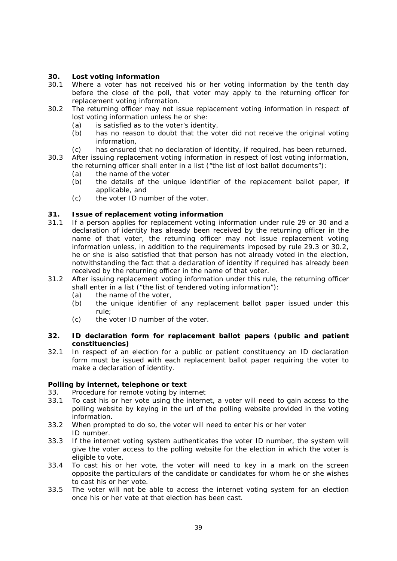# **30. Lost voting information**

- Where a voter has not received his or her voting information by the tenth day before the close of the poll, that voter may apply to the returning officer for replacement voting information.
- 30.2 The returning officer may not issue replacement voting information in respect of lost voting information unless he or she:
	- (a) is satisfied as to the voter's identity,
	- (b) has no reason to doubt that the voter did not receive the original voting information,
	- (c) has ensured that no declaration of identity, if required, has been returned.
- 30.3 After issuing replacement voting information in respect of lost voting information, the returning officer shall enter in a list ("the list of lost ballot documents"):
	- (a) the name of the voter
	- (b) the details of the unique identifier of the replacement ballot paper, if applicable, and
	- (c) the voter ID number of the voter.

#### **31. Issue of replacement voting information**

- 31.1 If a person applies for replacement voting information under rule 29 or 30 and a declaration of identity has already been received by the returning officer in the name of that voter, the returning officer may not issue replacement voting information unless, in addition to the requirements imposed by rule 29.3 or 30.2, he or she is also satisfied that that person has not already voted in the election, notwithstanding the fact that a declaration of identity if required has already been received by the returning officer in the name of that voter.
- 31.2 After issuing replacement voting information under this rule, the returning officer shall enter in a list ("the list of tendered voting information"):
	- (a) the name of the voter,
	- (b) the unique identifier of any replacement ballot paper issued under this rule;
	- (c) the voter ID number of the voter.

#### **32. ID declaration form for replacement ballot papers (public and patient constituencies)**

32.1 In respect of an election for a public or patient constituency an ID declaration form must be issued with each replacement ballot paper requiring the voter to make a declaration of identity.

# *Polling by internet, telephone or text*

- 33. Procedure for remote voting by internet
- 33.1 To cast his or her vote using the internet, a voter will need to gain access to the polling website by keying in the url of the polling website provided in the voting information.
- 33.2 When prompted to do so, the voter will need to enter his or her voter ID number.
- 33.3 If the internet voting system authenticates the voter ID number, the system will give the voter access to the polling website for the election in which the voter is eligible to vote.
- 33.4 To cast his or her vote, the voter will need to key in a mark on the screen opposite the particulars of the candidate or candidates for whom he or she wishes to cast his or her vote.
- 33.5 The voter will not be able to access the internet voting system for an election once his or her vote at that election has been cast.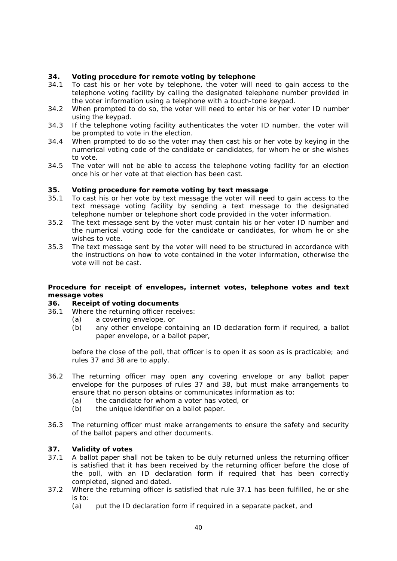#### **34. Voting procedure for remote voting by telephone**

- 34.1 To cast his or her vote by telephone, the voter will need to gain access to the telephone voting facility by calling the designated telephone number provided in the voter information using a telephone with a touch-tone keypad.
- 34.2 When prompted to do so, the voter will need to enter his or her voter ID number using the keypad.
- 34.3 If the telephone voting facility authenticates the voter ID number, the voter will be prompted to vote in the election.
- 34.4 When prompted to do so the voter may then cast his or her vote by keying in the numerical voting code of the candidate or candidates, for whom he or she wishes to vote.
- 34.5 The voter will not be able to access the telephone voting facility for an election once his or her vote at that election has been cast.

#### **35. Voting procedure for remote voting by text message**

- 35.1 To cast his or her vote by text message the voter will need to gain access to the text message voting facility by sending a text message to the designated telephone number or telephone short code provided in the voter information.
- 35.2 The text message sent by the voter must contain his or her voter ID number and the numerical voting code for the candidate or candidates, for whom he or she wishes to vote.
- 35.3 The text message sent by the voter will need to be structured in accordance with the instructions on how to vote contained in the voter information, otherwise the vote will not be cast.

#### *Procedure for receipt of envelopes, internet votes, telephone votes and text message votes*

# **36. Receipt of voting documents**

- Where the returning officer receives:
	- (a) a covering envelope, or
		- (b) any other envelope containing an ID declaration form if required, a ballot paper envelope, or a ballot paper,

before the close of the poll, that officer is to open it as soon as is practicable; and rules 37 and 38 are to apply.

- 36.2 The returning officer may open any covering envelope or any ballot paper envelope for the purposes of rules 37 and 38, but must make arrangements to ensure that no person obtains or communicates information as to:
	- (a) the candidate for whom a voter has voted, or
	- (b) the unique identifier on a ballot paper.
- 36.3 The returning officer must make arrangements to ensure the safety and security of the ballot papers and other documents.

#### **37. Validity of votes**

- 37.1 A ballot paper shall not be taken to be duly returned unless the returning officer is satisfied that it has been received by the returning officer before the close of the poll, with an ID declaration form if required that has been correctly completed, signed and dated.
- 37.2 Where the returning officer is satisfied that rule 37.1 has been fulfilled, he or she is to:
	- (a) put the ID declaration form if required in a separate packet, and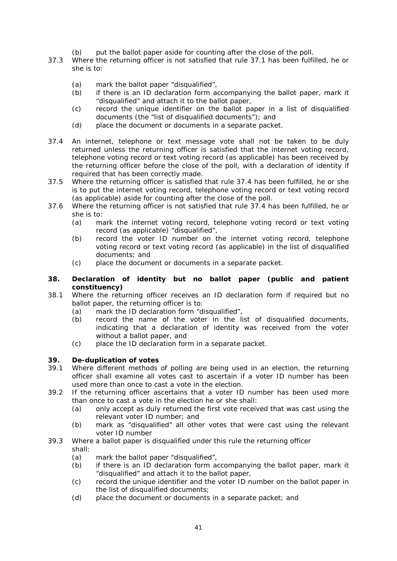- (b) put the ballot paper aside for counting after the close of the poll.
- 37.3 Where the returning officer is not satisfied that rule 37.1 has been fulfilled, he or she is to:
	- (a) mark the ballot paper "disqualified",  $(b)$  if there is an ID declaration form are
	- if there is an ID declaration form accompanying the ballot paper, mark it "disqualified" and attach it to the ballot paper,
	- (c) record the unique identifier on the ballot paper in a list of disqualified documents (the "list of disqualified documents"); and
	- (d) place the document or documents in a separate packet.
- 37.4 An internet, telephone or text message vote shall not be taken to be duly returned unless the returning officer is satisfied that the internet voting record, telephone voting record or text voting record (as applicable) has been received by the returning officer before the close of the poll, with a declaration of identity if required that has been correctly made.
- 37.5 Where the returning officer is satisfied that rule 37.4 has been fulfilled, he or she is to put the internet voting record, telephone voting record or text voting record (as applicable) aside for counting after the close of the poll.
- 37.6 Where the returning officer is not satisfied that rule 37.4 has been fulfilled, he or she is to:
	- (a) mark the internet voting record, telephone voting record or text voting record (as applicable) "disqualified",
	- (b) record the voter ID number on the internet voting record, telephone voting record or text voting record (as applicable) in the list of disqualified documents; and
	- (c) place the document or documents in a separate packet.

#### **38. Declaration of identity but no ballot paper (public and patient constituency)**

- 38.1 Where the returning officer receives an ID declaration form if required but no ballot paper, the returning officer is to:
	- (a) mark the ID declaration form "disqualified",
	- (b) record the name of the voter in the list of disqualified documents, indicating that a declaration of identity was received from the voter without a ballot paper, and
	- (c) place the ID declaration form in a separate packet.

#### **39. De-duplication of votes**

- 39.1 Where different methods of polling are being used in an election, the returning officer shall examine all votes cast to ascertain if a voter ID number has been used more than once to cast a vote in the election.
- 39.2 If the returning officer ascertains that a voter ID number has been used more than once to cast a vote in the election he or she shall:
	- (a) only accept as duly returned the first vote received that was cast using the relevant voter ID number; and
	- (b) mark as "disqualified" all other votes that were cast using the relevant voter ID number

#### 39.3 Where a ballot paper is disqualified under this rule the returning officer shall:

- (a) mark the ballot paper "disqualified",
- (b) if there is an ID declaration form accompanying the ballot paper, mark it "disqualified" and attach it to the ballot paper,
- (c) record the unique identifier and the voter ID number on the ballot paper in the list of disqualified documents;
- (d) place the document or documents in a separate packet; and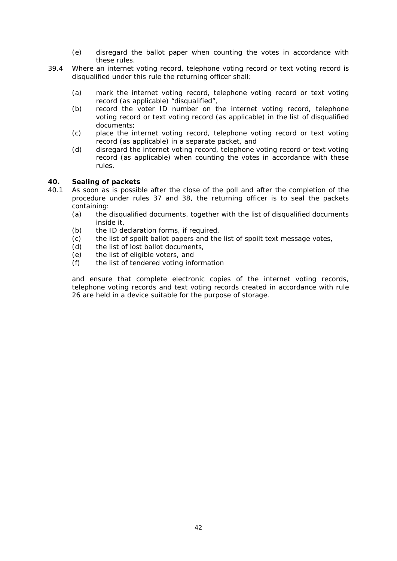- (e) disregard the ballot paper when counting the votes in accordance with these rules.
- 39.4 Where an internet voting record, telephone voting record or text voting record is disqualified under this rule the returning officer shall:
	- (a) mark the internet voting record, telephone voting record or text voting record (as applicable) "disqualified",
	- (b) record the voter ID number on the internet voting record, telephone voting record or text voting record (as applicable) in the list of disqualified documents;
	- (c) place the internet voting record, telephone voting record or text voting record (as applicable) in a separate packet, and
	- (d) disregard the internet voting record, telephone voting record or text voting record (as applicable) when counting the votes in accordance with these rules.

#### **40. Sealing of packets**

- 40.1 As soon as is possible after the close of the poll and after the completion of the procedure under rules 37 and 38, the returning officer is to seal the packets containing:
	- (a) the disqualified documents, together with the list of disqualified documents inside it,
	- (b) the ID declaration forms, if required,
	- (c) the list of spoilt ballot papers and the list of spoilt text message votes,
	- (d) the list of lost ballot documents,
	- (e) the list of eligible voters, and
	- (f) the list of tendered voting information

and ensure that complete electronic copies of the internet voting records, telephone voting records and text voting records created in accordance with rule 26 are held in a device suitable for the purpose of storage.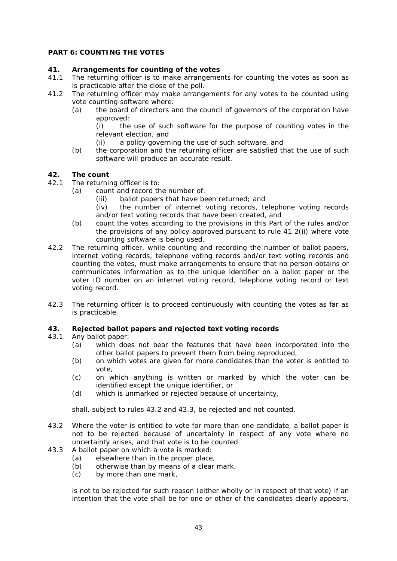# **PART 6: COUNTING THE VOTES**

#### **41. Arrangements for counting of the votes**

- 41.1 The returning officer is to make arrangements for counting the votes as soon as is practicable after the close of the poll.
- 41.2 The returning officer may make arrangements for any votes to be counted using vote counting software where:
	- (a) the board of directors and the council of governors of the corporation have approved:

(i) the use of such software for the purpose of counting votes in the relevant election, and

- (ii) a policy governing the use of such software, and
- (b) the corporation and the returning officer are satisfied that the use of such software will produce an accurate result.

# **42. The count**

- 42.1 The returning officer is to:
	- (a) count and record the number of:
		- (iii) ballot papers that have been returned; and
		- (iv) the number of internet voting records, telephone voting records and/or text voting records that have been created, and
		- (b) count the votes according to the provisions in this Part of the rules and/or the provisions of any policy approved pursuant to rule 41.2(ii) where vote counting software is being used.
- 42.2 The returning officer, while counting and recording the number of ballot papers, internet voting records, telephone voting records and/or text voting records and counting the votes, must make arrangements to ensure that no person obtains or communicates information as to the unique identifier on a ballot paper or the voter ID number on an internet voting record, telephone voting record or text voting record.
- 42.3 The returning officer is to proceed continuously with counting the votes as far as is practicable.

#### **43. Rejected ballot papers and rejected text voting records**

- 43.1 Any ballot paper:
	- (a) which does not bear the features that have been incorporated into the other ballot papers to prevent them from being reproduced,
	- (b) on which votes are given for more candidates than the voter is entitled to vote,
	- (c) on which anything is written or marked by which the voter can be identified except the unique identifier, or
	- (d) which is unmarked or rejected because of uncertainty,

shall, subject to rules 43.2 and 43.3, be rejected and not counted.

- 43.2 Where the voter is entitled to vote for more than one candidate, a ballot paper is not to be rejected because of uncertainty in respect of any vote where no uncertainty arises, and that vote is to be counted.
- 43.3 A ballot paper on which a vote is marked:
	- (a) elsewhere than in the proper place,
	- (b) otherwise than by means of a clear mark,
	- (c) by more than one mark,

is not to be rejected for such reason (either wholly or in respect of that vote) if an intention that the vote shall be for one or other of the candidates clearly appears,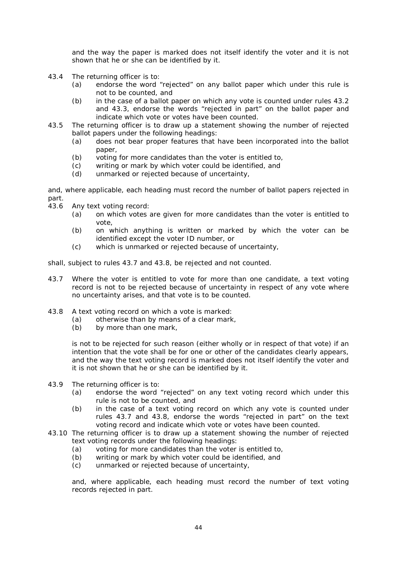and the way the paper is marked does not itself identify the voter and it is not shown that he or she can be identified by it.

- 43.4 The returning officer is to:
	- (a) endorse the word "rejected" on any ballot paper which under this rule is not to be counted, and
	- (b) in the case of a ballot paper on which any vote is counted under rules 43.2 and 43.3, endorse the words "rejected in part" on the ballot paper and indicate which vote or votes have been counted.
- 43.5 The returning officer is to draw up a statement showing the number of rejected ballot papers under the following headings:
	- (a) does not bear proper features that have been incorporated into the ballot paper,
	- (b) voting for more candidates than the voter is entitled to,
	- (c) writing or mark by which voter could be identified, and
	- (d) unmarked or rejected because of uncertainty,

and, where applicable, each heading must record the number of ballot papers rejected in part.

- 43.6 Any text voting record:
	- (a) on which votes are given for more candidates than the voter is entitled to vote,
	- (b) on which anything is written or marked by which the voter can be identified except the voter ID number, or
	- (c) which is unmarked or rejected because of uncertainty,

shall, subject to rules 43.7 and 43.8, be rejected and not counted.

- 43.7 Where the voter is entitled to vote for more than one candidate, a text voting record is not to be rejected because of uncertainty in respect of any vote where no uncertainty arises, and that vote is to be counted.
- 43.8 A text voting record on which a vote is marked:
	- (a) otherwise than by means of a clear mark,
	- (b) by more than one mark,

is not to be rejected for such reason (either wholly or in respect of that vote) if an intention that the vote shall be for one or other of the candidates clearly appears, and the way the text voting record is marked does not itself identify the voter and it is not shown that he or she can be identified by it.

- 43.9 The returning officer is to:
	- (a) endorse the word "rejected" on any text voting record which under this rule is not to be counted, and
	- (b) in the case of a text voting record on which any vote is counted under rules 43.7 and 43.8, endorse the words "rejected in part" on the text voting record and indicate which vote or votes have been counted.
- 43.10 The returning officer is to draw up a statement showing the number of rejected text voting records under the following headings:
	- (a) voting for more candidates than the voter is entitled to,
	- (b) writing or mark by which voter could be identified, and
	- (c) unmarked or rejected because of uncertainty,

and, where applicable, each heading must record the number of text voting records rejected in part.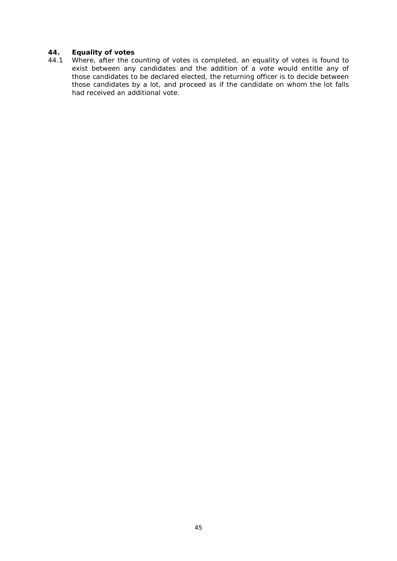# **44. Equality of votes**

44.1 Where, after the counting of votes is completed, an equality of votes is found to exist between any candidates and the addition of a vote would entitle any of those candidates to be declared elected, the returning officer is to decide between those candidates by a lot, and proceed as if the candidate on whom the lot falls had received an additional vote.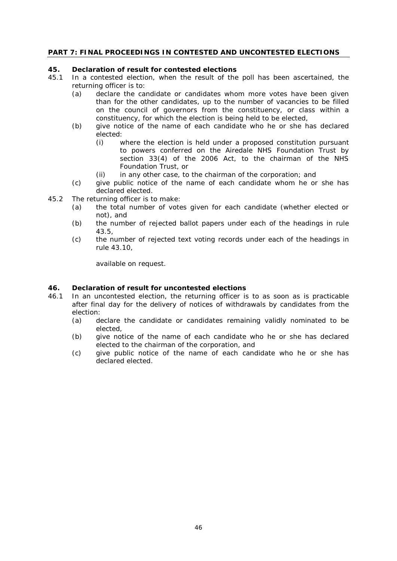# **PART 7: FINAL PROCEEDINGS IN CONTESTED AND UNCONTESTED ELECTIONS**

#### **45. Declaration of result for contested elections**

- 45.1 In a contested election, when the result of the poll has been ascertained, the returning officer is to:
	- (a) declare the candidate or candidates whom more votes have been given than for the other candidates, up to the number of vacancies to be filled on the council of governors from the constituency, or class within a constituency, for which the election is being held to be elected,
	- (b) give notice of the name of each candidate who he or she has declared elected:
		- (i) where the election is held under a proposed constitution pursuant to powers conferred on the Airedale NHS Foundation Trust by section 33(4) of the 2006 Act, to the chairman of the NHS Foundation Trust, or
		- (ii) in any other case, to the chairman of the corporation; and
	- (c) give public notice of the name of each candidate whom he or she has declared elected.
- 45.2 The returning officer is to make:
	- (a) the total number of votes given for each candidate (whether elected or not), and
	- (b) the number of rejected ballot papers under each of the headings in rule 43.5,
	- (c) the number of rejected text voting records under each of the headings in rule 43.10,

available on request.

#### **46. Declaration of result for uncontested elections**

- 46.1 In an uncontested election, the returning officer is to as soon as is practicable after final day for the delivery of notices of withdrawals by candidates from the election:
	- (a) declare the candidate or candidates remaining validly nominated to be elected,
	- (b) give notice of the name of each candidate who he or she has declared elected to the chairman of the corporation, and
	- (c) give public notice of the name of each candidate who he or she has declared elected.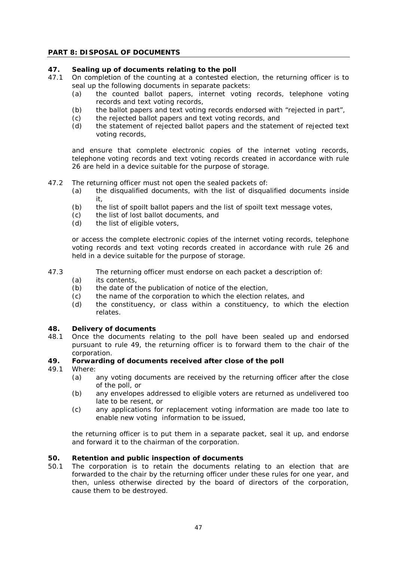#### **PART 8: DISPOSAL OF DOCUMENTS**

#### **47. Sealing up of documents relating to the poll**

- 47.1 On completion of the counting at a contested election, the returning officer is to seal up the following documents in separate packets:
	- (a) the counted ballot papers, internet voting records, telephone voting records and text voting records,
	- (b) the ballot papers and text voting records endorsed with "rejected in part",
	- (c) the rejected ballot papers and text voting records, and
	- (d) the statement of rejected ballot papers and the statement of rejected text voting records,

and ensure that complete electronic copies of the internet voting records, telephone voting records and text voting records created in accordance with rule 26 are held in a device suitable for the purpose of storage.

- 47.2 The returning officer must not open the sealed packets of:
	- (a) the disqualified documents, with the list of disqualified documents inside it,
	- (b) the list of spoilt ballot papers and the list of spoilt text message votes,
	- (c) the list of lost ballot documents, and
	- (d) the list of eligible voters,

or access the complete electronic copies of the internet voting records, telephone voting records and text voting records created in accordance with rule 26 and held in a device suitable for the purpose of storage.

#### 47.3 The returning officer must endorse on each packet a description of:

- (a) its contents,
- (b) the date of the publication of notice of the election,
- (c) the name of the corporation to which the election relates, and
- (d) the constituency, or class within a constituency, to which the election relates.

#### **48. Delivery of documents**

48.1 Once the documents relating to the poll have been sealed up and endorsed pursuant to rule 49, the returning officer is to forward them to the chair of the corporation.

#### **49. Forwarding of documents received after close of the poll**

- 49.1 Where:
	- (a) any voting documents are received by the returning officer after the close of the poll, or
	- (b) any envelopes addressed to eligible voters are returned as undelivered too late to be resent, or
	- (c) any applications for replacement voting information are made too late to enable new voting information to be issued,

the returning officer is to put them in a separate packet, seal it up, and endorse and forward it to the chairman of the corporation.

#### **50. Retention and public inspection of documents**

50.1 The corporation is to retain the documents relating to an election that are forwarded to the chair by the returning officer under these rules for one year, and then, unless otherwise directed by the board of directors of the corporation, cause them to be destroyed.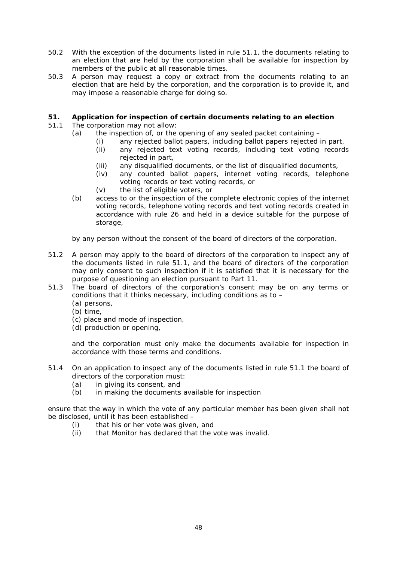- 50.2 With the exception of the documents listed in rule 51.1, the documents relating to an election that are held by the corporation shall be available for inspection by members of the public at all reasonable times.
- 50.3 A person may request a copy or extract from the documents relating to an election that are held by the corporation, and the corporation is to provide it, and may impose a reasonable charge for doing so.

# **51. Application for inspection of certain documents relating to an election**

- 51.1 The corporation may not allow:
	- (a) the inspection of, or the opening of any sealed packet containing
		- (i) any rejected ballot papers, including ballot papers rejected in part,
		- (ii) any rejected text voting records, including text voting records rejected in part,
		- (iii) any disqualified documents, or the list of disqualified documents,
		- (iv) any counted ballot papers, internet voting records, telephone voting records or text voting records, or
		- (v) the list of eligible voters, or
	- (b) access to or the inspection of the complete electronic copies of the internet voting records, telephone voting records and text voting records created in accordance with rule 26 and held in a device suitable for the purpose of storage,

by any person without the consent of the board of directors of the corporation.

- 51.2 A person may apply to the board of directors of the corporation to inspect any of the documents listed in rule 51.1, and the board of directors of the corporation may only consent to such inspection if it is satisfied that it is necessary for the purpose of questioning an election pursuant to Part 11.
- 51.3 The board of directors of the corporation's consent may be on any terms or conditions that it thinks necessary, including conditions as to –
	- (a) persons,
	- (b) time,
	- (c) place and mode of inspection,
	- (d) production or opening,

and the corporation must only make the documents available for inspection in accordance with those terms and conditions.

- 51.4 On an application to inspect any of the documents listed in rule 51.1 the board of directors of the corporation must:
	- (a) in giving its consent, and
	- (b) in making the documents available for inspection

ensure that the way in which the vote of any particular member has been given shall not be disclosed, until it has been established –

- (i) that his or her vote was given, and
- (ii) that Monitor has declared that the vote was invalid.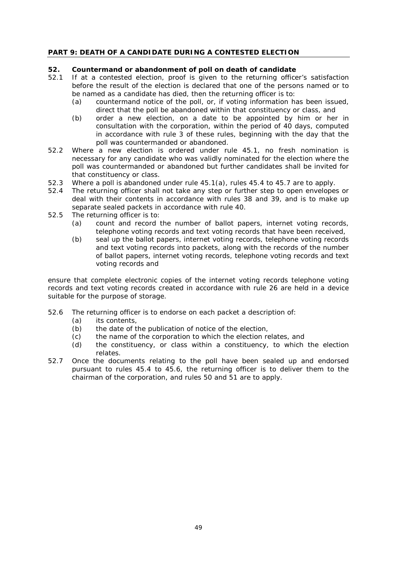# **PART 9: DEATH OF A CANDIDATE DURING A CONTESTED ELECTION**

#### **52. Countermand or abandonment of poll on death of candidate**

- 52.1 If at a contested election, proof is given to the returning officer's satisfaction before the result of the election is declared that one of the persons named or to be named as a candidate has died, then the returning officer is to:
	- (a) countermand notice of the poll, or, if voting information has been issued, direct that the poll be abandoned within that constituency or class, and
	- (b) order a new election, on a date to be appointed by him or her in consultation with the corporation, within the period of 40 days, computed in accordance with rule 3 of these rules, beginning with the day that the poll was countermanded or abandoned.
- 52.2 Where a new election is ordered under rule 45.1, no fresh nomination is necessary for any candidate who was validly nominated for the election where the poll was countermanded or abandoned but further candidates shall be invited for that constituency or class.
- 52.3 Where a poll is abandoned under rule 45.1(a), rules 45.4 to 45.7 are to apply.
- 52.4 The returning officer shall not take any step or further step to open envelopes or deal with their contents in accordance with rules 38 and 39, and is to make up separate sealed packets in accordance with rule 40.
- 52.5 The returning officer is to:
	- (a) count and record the number of ballot papers, internet voting records, telephone voting records and text voting records that have been received,
	- (b) seal up the ballot papers, internet voting records, telephone voting records and text voting records into packets, along with the records of the number of ballot papers, internet voting records, telephone voting records and text voting records and

ensure that complete electronic copies of the internet voting records telephone voting records and text voting records created in accordance with rule 26 are held in a device suitable for the purpose of storage.

- 52.6 The returning officer is to endorse on each packet a description of:
	- (a) its contents,
	- (b) the date of the publication of notice of the election,
	- (c) the name of the corporation to which the election relates, and
	- (d) the constituency, or class within a constituency, to which the election relates.
- 52.7 Once the documents relating to the poll have been sealed up and endorsed pursuant to rules 45.4 to 45.6, the returning officer is to deliver them to the chairman of the corporation, and rules 50 and 51 are to apply.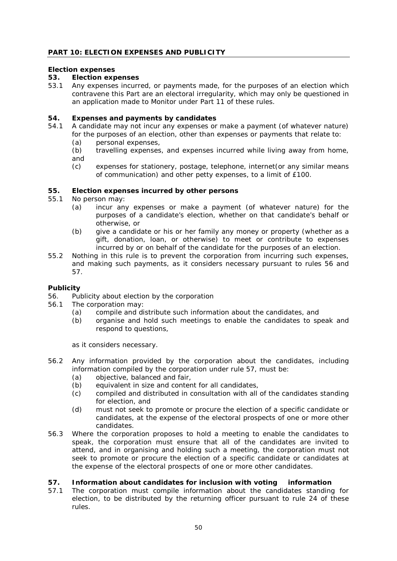### *Election expenses*

### **53. Election expenses**

53.1 Any expenses incurred, or payments made, for the purposes of an election which contravene this Part are an electoral irregularity, which may only be questioned in an application made to Monitor under Part 11 of these rules.

### **54. Expenses and payments by candidates**

- 54.1 A candidate may not incur any expenses or make a payment (of whatever nature) for the purposes of an election, other than expenses or payments that relate to:
	- (a) personal expenses,
	- (b) travelling expenses, and expenses incurred while living away from home, and
	- (c) expenses for stationery, postage, telephone, internet(or any similar means of communication) and other petty expenses, to a limit of £100.

#### **55. Election expenses incurred by other persons**

- 55.1 No person may:
	- (a) incur any expenses or make a payment (of whatever nature) for the purposes of a candidate's election, whether on that candidate's behalf or otherwise, or
	- (b) give a candidate or his or her family any money or property (whether as a gift, donation, loan, or otherwise) to meet or contribute to expenses incurred by or on behalf of the candidate for the purposes of an election.
- 55.2 Nothing in this rule is to prevent the corporation from incurring such expenses, and making such payments, as it considers necessary pursuant to rules 56 and 57.

# *Publicity*

- 56. Publicity about election by the corporation<br>56.1 The corporation may:
- The corporation may:
	- (a) compile and distribute such information about the candidates, and
	- (b) organise and hold such meetings to enable the candidates to speak and respond to questions,

as it considers necessary.

- 56.2 Any information provided by the corporation about the candidates, including information compiled by the corporation under rule 57, must be:
	- (a) objective, balanced and fair,
	- (b) equivalent in size and content for all candidates,
	- (c) compiled and distributed in consultation with all of the candidates standing for election, and
	- (d) must not seek to promote or procure the election of a specific candidate or candidates, at the expense of the electoral prospects of one or more other candidates.
- 56.3 Where the corporation proposes to hold a meeting to enable the candidates to speak, the corporation must ensure that all of the candidates are invited to attend, and in organising and holding such a meeting, the corporation must not seek to promote or procure the election of a specific candidate or candidates at the expense of the electoral prospects of one or more other candidates.

#### **57. Information about candidates for inclusion with voting information**

57.1 The corporation must compile information about the candidates standing for election, to be distributed by the returning officer pursuant to rule 24 of these rules.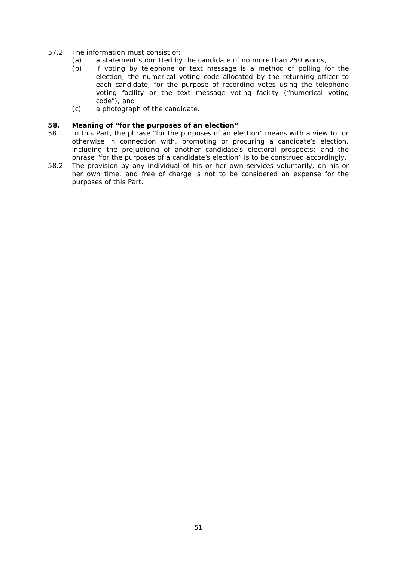- 57.2 The information must consist of:
	- (a) a statement submitted by the candidate of no more than 250 words,
	- (b) if voting by telephone or text message is a method of polling for the election, the numerical voting code allocated by the returning officer to each candidate, for the purpose of recording votes using the telephone voting facility or the text message voting facility ("numerical voting code"), and
	- (c) a photograph of the candidate.

#### **58. Meaning of "for the purposes of an election"**

- 58.1 In this Part, the phrase "for the purposes of an election" means with a view to, or otherwise in connection with, promoting or procuring a candidate's election, including the prejudicing of another candidate's electoral prospects; and the phrase "for the purposes of a candidate's election" is to be construed accordingly.
- 58.2 The provision by any individual of his or her own services voluntarily, on his or her own time, and free of charge is not to be considered an expense for the purposes of this Part.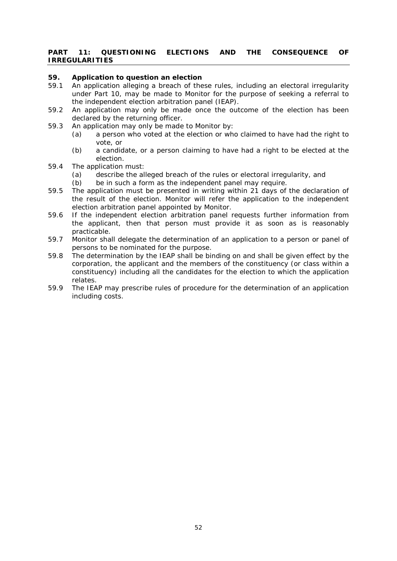#### **PART 11: QUESTIONING ELECTIONS AND THE CONSEQUENCE OF IRREGULARITIES**

# **59. Application to question an election**

- 59.1 An application alleging a breach of these rules, including an electoral irregularity under Part 10, may be made to Monitor for the purpose of seeking a referral to the independent election arbitration panel (IEAP).
- 59.2 An application may only be made once the outcome of the election has been declared by the returning officer.
- 59.3 An application may only be made to Monitor by:
	- (a) a person who voted at the election or who claimed to have had the right to vote, or
	- (b) a candidate, or a person claiming to have had a right to be elected at the election.
- 59.4 The application must:
	- (a) describe the alleged breach of the rules or electoral irregularity, and
	- (b) be in such a form as the independent panel may require.
- 59.5 The application must be presented in writing within 21 days of the declaration of the result of the election. Monitor will refer the application to the independent election arbitration panel appointed by Monitor.
- 59.6 If the independent election arbitration panel requests further information from the applicant, then that person must provide it as soon as is reasonably practicable.
- 59.7 Monitor shall delegate the determination of an application to a person or panel of persons to be nominated for the purpose.
- 59.8 The determination by the IEAP shall be binding on and shall be given effect by the corporation, the applicant and the members of the constituency (or class within a constituency) including all the candidates for the election to which the application relates.
- 59.9 The IEAP may prescribe rules of procedure for the determination of an application including costs.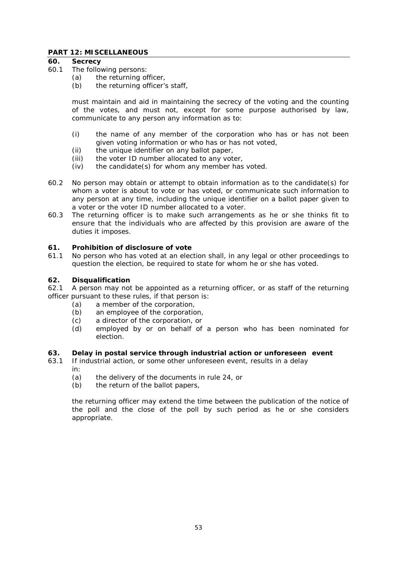#### **PART 12: MISCELLANEOUS**

### **60. Secrecy**

- 60.1 The following persons:
	- (a) the returning officer,
	- (b) the returning officer's staff,

must maintain and aid in maintaining the secrecy of the voting and the counting of the votes, and must not, except for some purpose authorised by law, communicate to any person any information as to:

- (i) the name of any member of the corporation who has or has not been given voting information or who has or has not voted,
- (ii) the unique identifier on any ballot paper,
- (iii) the voter ID number allocated to any voter,
- (iv) the candidate(s) for whom any member has voted.
- 60.2 No person may obtain or attempt to obtain information as to the candidate(s) for whom a voter is about to vote or has voted, or communicate such information to any person at any time, including the unique identifier on a ballot paper given to a voter or the voter ID number allocated to a voter.
- 60.3 The returning officer is to make such arrangements as he or she thinks fit to ensure that the individuals who are affected by this provision are aware of the duties it imposes.

#### **61. Prohibition of disclosure of vote**

61.1 No person who has voted at an election shall, in any legal or other proceedings to question the election, be required to state for whom he or she has voted.

#### **62. Disqualification**

62.1 A person may not be appointed as a returning officer, or as staff of the returning officer pursuant to these rules, if that person is:

- (a) a member of the corporation,
- (b) an employee of the corporation,
- (c) a director of the corporation, or
- (d) employed by or on behalf of a person who has been nominated for election.

#### **63. Delay in postal service through industrial action or unforeseen event**

- 63.1 If industrial action, or some other unforeseen event, results in a delay in:
	- (a) the delivery of the documents in rule 24, or
	- (b) the return of the ballot papers,

the returning officer may extend the time between the publication of the notice of the poll and the close of the poll by such period as he or she considers appropriate.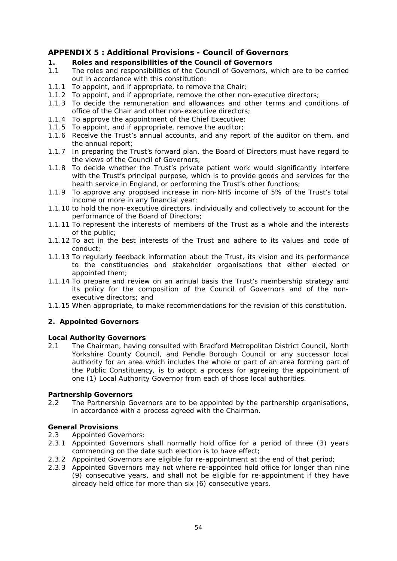# <span id="page-53-0"></span>**APPENDIX 5 : Additional Provisions - Council of Governors**

# **1. Roles and responsibilities of the Council of Governors**

- 1.1 The roles and responsibilities of the Council of Governors, which are to be carried out in accordance with this constitution:
- 1.1.1 To appoint, and if appropriate, to remove the Chair;
- 1.1.2 To appoint, and if appropriate, remove the other non-executive directors;
- 1.1.3 To decide the remuneration and allowances and other terms and conditions of office of the Chair and other non-executive directors;
- 1.1.4 To approve the appointment of the Chief Executive;
- 1.1.5 To appoint, and if appropriate, remove the auditor;
- 1.1.6 Receive the Trust's annual accounts, and any report of the auditor on them, and the annual report;
- 1.1.7 In preparing the Trust's forward plan, the Board of Directors must have regard to the views of the Council of Governors;
- 1.1.8 To decide whether the Trust's private patient work would significantly interfere with the Trust's principal purpose, which is to provide goods and services for the health service in England, or performing the Trust's other functions;
- 1.1.9 To approve any proposed increase in non-NHS income of 5% of the Trust's total income or more in any financial year;
- 1.1.10 to hold the non-executive directors, individually and collectively to account for the performance of the Board of Directors;
- 1.1.11 To represent the interests of members of the Trust as a whole and the interests of the public;
- 1.1.12 To act in the best interests of the Trust and adhere to its values and code of conduct;
- 1.1.13 To regularly feedback information about the Trust, its vision and its performance to the constituencies and stakeholder organisations that either elected or appointed them;
- 1.1.14 To prepare and review on an annual basis the Trust's membership strategy and its policy for the composition of the Council of Governors and of the nonexecutive directors; and
- 1.1.15 When appropriate, to make recommendations for the revision of this constitution.

# **2. Appointed Governors**

#### **Local Authority Governors**

2.1 The Chairman, having consulted with Bradford Metropolitan District Council, North Yorkshire County Council, and Pendle Borough Council or any successor local authority for an area which includes the whole or part of an area forming part of the Public Constituency, is to adopt a process for agreeing the appointment of one (1) Local Authority Governor from each of those local authorities.

# **Partnership Governors**

2.2 The Partnership Governors are to be appointed by the partnership organisations, in accordance with a process agreed with the Chairman.

# **General Provisions**

- 2.3 Appointed Governors:
- 2.3.1 Appointed Governors shall normally hold office for a period of three (3) years commencing on the date such election is to have effect;
- 2.3.2 Appointed Governors are eligible for re-appointment at the end of that period;
- 2.3.3 Appointed Governors may not where re-appointed hold office for longer than nine (9) consecutive years, and shall not be eligible for re-appointment if they have already held office for more than six (6) consecutive years.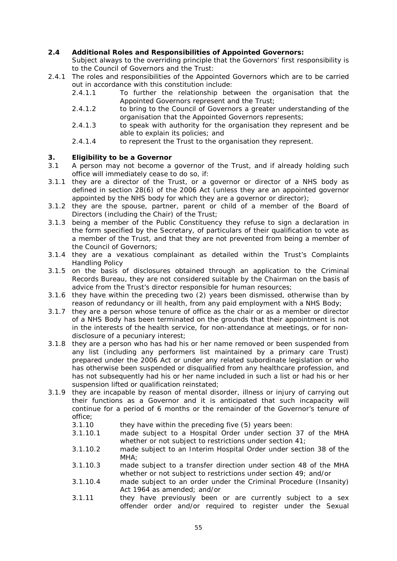# **2.4 Additional Roles and Responsibilities of Appointed Governors:**

Subject always to the overriding principle that the Governors' first responsibility is to the Council of Governors and the Trust:

- 2.4.1 The roles and responsibilities of the Appointed Governors which are to be carried out in accordance with this constitution include:<br>2.4.1.1. To further the relationship bet
	- 2.4.1.1 To further the relationship between the organisation that the Appointed Governors represent and the Trust;
	- 2.4.1.2 to bring to the Council of Governors a greater understanding of the organisation that the Appointed Governors represents;
	- 2.4.1.3 to speak with authority for the organisation they represent and be able to explain its policies; and
	- 2.4.1.4 to represent the Trust to the organisation they represent.

# **3. Eligibility to be a Governor**

- A person may not become a governor of the Trust, and if already holding such office will immediately cease to do so, if:
- 3.1.1 they are a director of the Trust, or a governor or director of a NHS body as defined in section 28(6) of the 2006 Act (unless they are an appointed governor appointed by the NHS body for which they are a governor or director);
- 3.1.2 they are the spouse, partner, parent or child of a member of the Board of Directors (including the Chair) of the Trust;
- 3.1.3 being a member of the Public Constituency they refuse to sign a declaration in the form specified by the Secretary, of particulars of their qualification to vote as a member of the Trust, and that they are not prevented from being a member of the Council of Governors;
- 3.1.4 they are a vexatious complainant as detailed within the Trust's Complaints Handling Policy
- 3.1.5 on the basis of disclosures obtained through an application to the Criminal Records Bureau, they are not considered suitable by the Chairman on the basis of advice from the Trust's director responsible for human resources;
- 3.1.6 they have within the preceding two (2) years been dismissed, otherwise than by reason of redundancy or ill health, from any paid employment with a NHS Body;
- 3.1.7 they are a person whose tenure of office as the chair or as a member or director of a NHS Body has been terminated on the grounds that their appointment is not in the interests of the health service, for non-attendance at meetings, or for nondisclosure of a pecuniary interest;
- 3.1.8 they are a person who has had his or her name removed or been suspended from any list (including any performers list maintained by a primary care Trust) prepared under the 2006 Act or under any related subordinate legislation or who has otherwise been suspended or disqualified from any healthcare profession, and has not subsequently had his or her name included in such a list or had his or her suspension lifted or qualification reinstated;
- 3.1.9 they are incapable by reason of mental disorder, illness or injury of carrying out their functions as a Governor and it is anticipated that such incapacity will continue for a period of 6 months or the remainder of the Governor's tenure of office;
	- 3.1.10 they have within the preceding five (5) years been:
	- 3.1.10.1 made subject to a Hospital Order under section 37 of the MHA whether or not subject to restrictions under section 41;
	- 3.1.10.2 made subject to an Interim Hospital Order under section 38 of the MHA:
	- 3.1.10.3 made subject to a transfer direction under section 48 of the MHA whether or not subject to restrictions under section 49; and/or
	- 3.1.10.4 made subject to an order under the Criminal Procedure (Insanity) Act 1964 as amended; and/or
	- 3.1.11 they have previously been or are currently subject to a sex offender order and/or required to register under the Sexual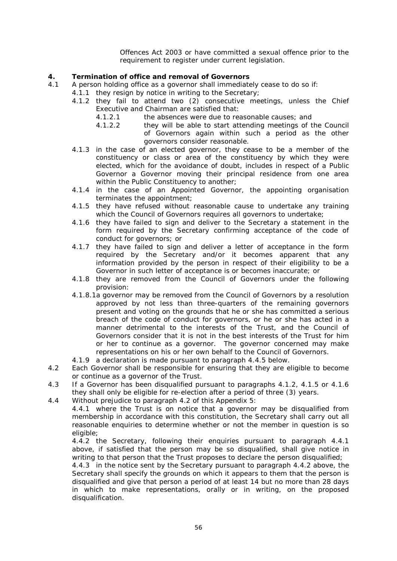Offences Act 2003 or have committed a sexual offence prior to the requirement to register under current legislation.

# **4. Termination of office and removal of Governors**

- 4.1 A person holding office as a governor shall immediately cease to do so if:
	- 4.1.1 they resign by notice in writing to the Secretary;
		- 4.1.2 they fail to attend two (2) consecutive meetings, unless the Chief Executive and Chairman are satisfied that:
			- 4.1.2.1 the absences were due to reasonable causes; and
			- 4.1.2.2 they will be able to start attending meetings of the Council of Governors again within such a period as the other governors consider reasonable.
		- 4.1.3 in the case of an elected governor, they cease to be a member of the constituency or class or area of the constituency by which they were elected, which for the avoidance of doubt, includes in respect of a Public Governor a Governor moving their principal residence from one area within the Public Constituency to another;
		- 4.1.4 in the case of an Appointed Governor, the appointing organisation terminates the appointment;
		- 4.1.5 they have refused without reasonable cause to undertake any training which the Council of Governors requires all governors to undertake;
		- 4.1.6 they have failed to sign and deliver to the Secretary a statement in the form required by the Secretary confirming acceptance of the code of conduct for governors; or
		- 4.1.7 they have failed to sign and deliver a letter of acceptance in the form required by the Secretary and/or it becomes apparent that any information provided by the person in respect of their eligibility to be a Governor in such letter of acceptance is or becomes inaccurate; or
		- 4.1.8 they are removed from the Council of Governors under the following provision:
		- 4.1.8.1a governor may be removed from the Council of Governors by a resolution approved by not less than three-quarters of the remaining governors present and voting on the grounds that he or she has committed a serious breach of the code of conduct for governors, or he or she has acted in a manner detrimental to the interests of the Trust, and the Council of Governors consider that it is not in the best interests of the Trust for him or her to continue as a governor. The governor concerned may make representations on his or her own behalf to the Council of Governors.
	- 4.1.9 a declaration is made pursuant to paragraph 4.4.5 below.
- 4.2 Each Governor shall be responsible for ensuring that they are eligible to become or continue as a governor of the Trust.
- 4.3 If a Governor has been disqualified pursuant to paragraphs 4.1.2, 4.1.5 or 4.1.6 they shall only be eligible for re-election after a period of three (3) years.
- 4.4 Without prejudice to paragraph 4.2 of this Appendix 5:

4.4.1 where the Trust is on notice that a governor may be disqualified from membership in accordance with this constitution, the Secretary shall carry out all reasonable enquiries to determine whether or not the member in question is so eligible;

4.4.2 the Secretary, following their enquiries pursuant to paragraph 4.4.1 above, if satisfied that the person may be so disqualified, shall give notice in writing to that person that the Trust proposes to declare the person disqualified;

4.4.3 in the notice sent by the Secretary pursuant to paragraph 4.4.2 above, the Secretary shall specify the grounds on which it appears to them that the person is disqualified and give that person a period of at least 14 but no more than 28 days in which to make representations, orally or in writing, on the proposed disqualification.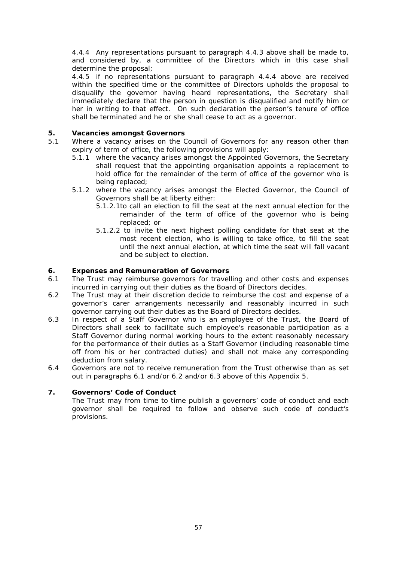4.4.4 Any representations pursuant to paragraph 4.4.3 above shall be made to, and considered by, a committee of the Directors which in this case shall determine the proposal;

4.4.5 if no representations pursuant to paragraph 4.4.4 above are received within the specified time or the committee of Directors upholds the proposal to disqualify the governor having heard representations, the Secretary shall immediately declare that the person in question is disqualified and notify him or her in writing to that effect. On such declaration the person's tenure of office shall be terminated and he or she shall cease to act as a governor.

# **5. Vacancies amongst Governors**

- 5.1 Where a vacancy arises on the Council of Governors for any reason other than expiry of term of office, the following provisions will apply:
	- 5.1.1 where the vacancy arises amongst the Appointed Governors, the Secretary shall request that the appointing organisation appoints a replacement to hold office for the remainder of the term of office of the governor who is being replaced;
	- 5.1.2 where the vacancy arises amongst the Elected Governor, the Council of Governors shall be at liberty either:
		- 5.1.2.1to call an election to fill the seat at the next annual election for the remainder of the term of office of the governor who is being replaced; or
		- 5.1.2.2 to invite the next highest polling candidate for that seat at the most recent election, who is willing to take office, to fill the seat until the next annual election, at which time the seat will fall vacant and be subject to election.

#### **6. Expenses and Remuneration of Governors**

- 6.1 The Trust may reimburse governors for travelling and other costs and expenses incurred in carrying out their duties as the Board of Directors decides.
- 6.2 The Trust may at their discretion decide to reimburse the cost and expense of a governor's carer arrangements necessarily and reasonably incurred in such governor carrying out their duties as the Board of Directors decides.
- 6.3 In respect of a Staff Governor who is an employee of the Trust, the Board of Directors shall seek to facilitate such employee's reasonable participation as a Staff Governor during normal working hours to the extent reasonably necessary for the performance of their duties as a Staff Governor (including reasonable time off from his or her contracted duties) and shall not make any corresponding deduction from salary.
- 6.4 Governors are not to receive remuneration from the Trust otherwise than as set out in paragraphs 6.1 and/or 6.2 and/or 6.3 above of this Appendix 5.

# **7. Governors' Code of Conduct**

The Trust may from time to time publish a governors' code of conduct and each governor shall be required to follow and observe such code of conduct's provisions.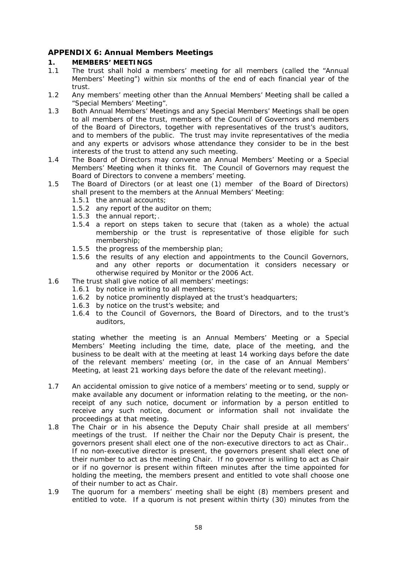# <span id="page-57-0"></span>**APPENDIX 6: Annual Members Meetings**

### **1. MEMBERS' MEETINGS**

- 1.1 The trust shall hold a members' meeting for all members (called the "Annual Members' Meeting") within six months of the end of each financial year of the trust.
- 1.2 Any members' meeting other than the Annual Members' Meeting shall be called a "Special Members' Meeting".
- 1.3 Both Annual Members' Meetings and any Special Members' Meetings shall be open to all members of the trust, members of the Council of Governors and members of the Board of Directors, together with representatives of the trust's auditors, and to members of the public. The trust may invite representatives of the media and any experts or advisors whose attendance they consider to be in the best interests of the trust to attend any such meeting.
- 1.4 The Board of Directors may convene an Annual Members' Meeting or a Special Members' Meeting when it thinks fit. The Council of Governors may request the Board of Directors to convene a members' meeting.
- 1.5 The Board of Directors (or at least one (1) member of the Board of Directors) shall present to the members at the Annual Members' Meeting:
	- 1.5.1 the annual accounts;
	- 1.5.2 any report of the auditor on them;
	- 1.5.3 the annual report;.
	- 1.5.4 a report on steps taken to secure that (taken as a whole) the actual membership or the trust is representative of those eligible for such membership;
	- 1.5.5 the progress of the membership plan;
	- 1.5.6 the results of any election and appointments to the Council Governors, and any other reports or documentation it considers necessary or otherwise required by Monitor or the 2006 Act.
- 1.6 The trust shall give notice of all members' meetings:
	- 1.6.1 by notice in writing to all members;
	- 1.6.2 by notice prominently displayed at the trust's headquarters;
	- 1.6.3 by notice on the trust's website; and
	- 1.6.4 to the Council of Governors, the Board of Directors, and to the trust's auditors,

stating whether the meeting is an Annual Members' Meeting or a Special Members' Meeting including the time, date, place of the meeting, and the business to be dealt with at the meeting at least 14 working days before the date of the relevant members' meeting (or, in the case of an Annual Members' Meeting, at least 21 working days before the date of the relevant meeting).

- 1.7 An accidental omission to give notice of a members' meeting or to send, supply or make available any document or information relating to the meeting, or the nonreceipt of any such notice, document or information by a person entitled to receive any such notice, document or information shall not invalidate the proceedings at that meeting.
- 1.8 The Chair or in his absence the Deputy Chair shall preside at all members' meetings of the trust. If neither the Chair nor the Deputy Chair is present, the governors present shall elect one of the non-executive directors to act as Chair.. If no non-executive director is present, the governors present shall elect one of their number to act as the meeting Chair. If no governor is willing to act as Chair or if no governor is present within fifteen minutes after the time appointed for holding the meeting, the members present and entitled to vote shall choose one of their number to act as Chair.
- 1.9 The quorum for a members' meeting shall be eight (8) members present and entitled to vote. If a quorum is not present within thirty (30) minutes from the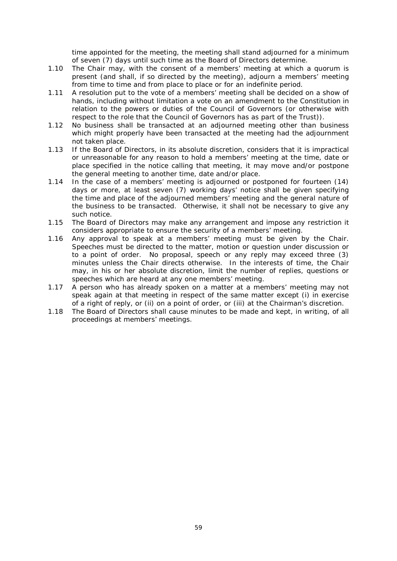time appointed for the meeting, the meeting shall stand adjourned for a minimum of seven (7) days until such time as the Board of Directors determine.

- 1.10 The Chair may, with the consent of a members' meeting at which a quorum is present (and shall, if so directed by the meeting), adjourn a members' meeting from time to time and from place to place or for an indefinite period.
- 1.11 A resolution put to the vote of a members' meeting shall be decided on a show of hands, including without limitation a vote on an amendment to the Constitution in relation to the powers or duties of the Council of Governors (or otherwise with respect to the role that the Council of Governors has as part of the Trust)).
- 1.12 No business shall be transacted at an adjourned meeting other than business which might properly have been transacted at the meeting had the adjournment not taken place.
- 1.13 If the Board of Directors, in its absolute discretion, considers that it is impractical or unreasonable for any reason to hold a members' meeting at the time, date or place specified in the notice calling that meeting, it may move and/or postpone the general meeting to another time, date and/or place.
- 1.14 In the case of a members' meeting is adjourned or postponed for fourteen (14) days or more, at least seven (7) working days' notice shall be given specifying the time and place of the adjourned members' meeting and the general nature of the business to be transacted. Otherwise, it shall not be necessary to give any such notice.
- 1.15 The Board of Directors may make any arrangement and impose any restriction it considers appropriate to ensure the security of a members' meeting.
- 1.16 Any approval to speak at a members' meeting must be given by the Chair. Speeches must be directed to the matter, motion or question under discussion or to a point of order. No proposal, speech or any reply may exceed three (3) minutes unless the Chair directs otherwise. In the interests of time, the Chair may, in his or her absolute discretion, limit the number of replies, questions or speeches which are heard at any one members' meeting.
- 1.17 A person who has already spoken on a matter at a members' meeting may not speak again at that meeting in respect of the same matter except (i) in exercise of a right of reply, or (ii) on a point of order, or (iii) at the Chairman's discretion.
- 1.18 The Board of Directors shall cause minutes to be made and kept, in writing, of all proceedings at members' meetings.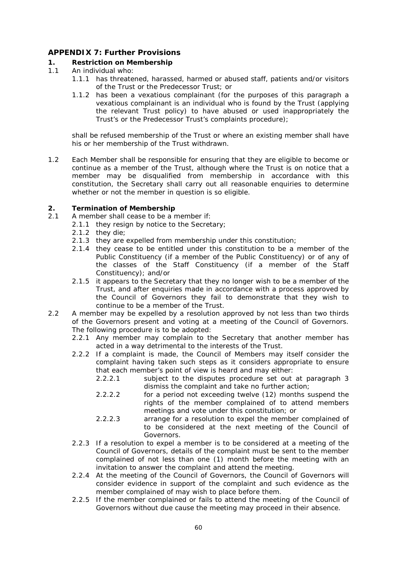# <span id="page-59-0"></span>**APPENDIX 7: Further Provisions**

#### **1. Restriction on Membership**

- 1.1 An individual who:
	- 1.1.1 has threatened, harassed, harmed or abused staff, patients and/or visitors of the Trust or the Predecessor Trust; or
	- 1.1.2 has been a vexatious complainant (for the purposes of this paragraph a vexatious complainant is an individual who is found by the Trust (applying the relevant Trust policy) to have abused or used inappropriately the Trust's or the Predecessor Trust's complaints procedure);

shall be refused membership of the Trust or where an existing member shall have his or her membership of the Trust withdrawn.

1.2 Each Member shall be responsible for ensuring that they are eligible to become or continue as a member of the Trust, although where the Trust is on notice that a member may be disqualified from membership in accordance with this constitution, the Secretary shall carry out all reasonable enquiries to determine whether or not the member in question is so eligible.

#### **2. Termination of Membership**

- 2.1 A member shall cease to be a member if:
	- 2.1.1 they resign by notice to the Secretary:
		- 2.1.2 they die;
		- 2.1.3 they are expelled from membership under this constitution;
		- 2.1.4 they cease to be entitled under this constitution to be a member of the Public Constituency (if a member of the Public Constituency) or of any of the classes of the Staff Constituency (if a member of the Staff Constituency); and/or
		- 2.1.5 it appears to the Secretary that they no longer wish to be a member of the Trust, and after enquiries made in accordance with a process approved by the Council of Governors they fail to demonstrate that they wish to continue to be a member of the Trust.
- 2.2 A member may be expelled by a resolution approved by not less than two thirds of the Governors present and voting at a meeting of the Council of Governors. The following procedure is to be adopted:
	- 2.2.1 Any member may complain to the Secretary that another member has acted in a way detrimental to the interests of the Trust.
	- 2.2.2 If a complaint is made, the Council of Members may itself consider the complaint having taken such steps as it considers appropriate to ensure that each member's point of view is heard and may either:
		- 2.2.2.1 subject to the disputes procedure set out at paragraph 3 dismiss the complaint and take no further action;
		- 2.2.2.2 for a period not exceeding twelve (12) months suspend the rights of the member complained of to attend members meetings and vote under this constitution; or
		- 2.2.2.3 arrange for a resolution to expel the member complained of to be considered at the next meeting of the Council of Governors.
	- 2.2.3 If a resolution to expel a member is to be considered at a meeting of the Council of Governors, details of the complaint must be sent to the member complained of not less than one (1) month before the meeting with an invitation to answer the complaint and attend the meeting.
	- 2.2.4 At the meeting of the Council of Governors, the Council of Governors will consider evidence in support of the complaint and such evidence as the member complained of may wish to place before them.
	- 2.2.5 If the member complained or fails to attend the meeting of the Council of Governors without due cause the meeting may proceed in their absence.